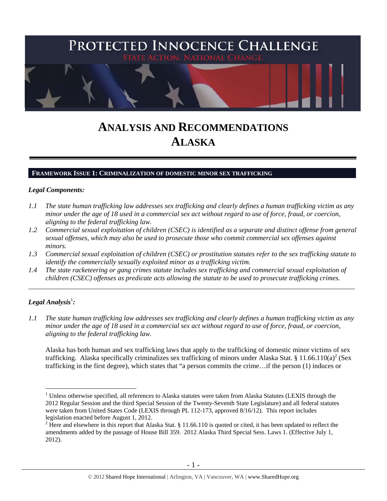

# **ANALYSIS AND RECOMMENDATIONS ALASKA**

#### **FRAMEWORK ISSUE 1: CRIMINALIZATION OF DOMESTIC MINOR SEX TRAFFICKING**

#### *Legal Components:*

- *1.1 The state human trafficking law addresses sex trafficking and clearly defines a human trafficking victim as any minor under the age of 18 used in a commercial sex act without regard to use of force, fraud, or coercion, aligning to the federal trafficking law.*
- *1.2 Commercial sexual exploitation of children (CSEC) is identified as a separate and distinct offense from general sexual offenses, which may also be used to prosecute those who commit commercial sex offenses against minors.*
- *1.3 Commercial sexual exploitation of children (CSEC) or prostitution statutes refer to the sex trafficking statute to identify the commercially sexually exploited minor as a trafficking victim.*

\_\_\_\_\_\_\_\_\_\_\_\_\_\_\_\_\_\_\_\_\_\_\_\_\_\_\_\_\_\_\_\_\_\_\_\_\_\_\_\_\_\_\_\_\_\_\_\_\_\_\_\_\_\_\_\_\_\_\_\_\_\_\_\_\_\_\_\_\_\_\_\_\_\_\_\_\_\_\_\_\_\_\_\_\_\_\_\_\_\_\_\_\_\_

*1.4 The state racketeering or gang crimes statute includes sex trafficking and commercial sexual exploitation of children (CSEC) offenses as predicate acts allowing the statute to be used to prosecute trafficking crimes.* 

# $\bm{L}$ egal Analysis $^1$ :

 $\overline{a}$ 

*1.1 The state human trafficking law addresses sex trafficking and clearly defines a human trafficking victim as any minor under the age of 18 used in a commercial sex act without regard to use of force, fraud, or coercion, aligning to the federal trafficking law.* 

Alaska has both human and sex trafficking laws that apply to the trafficking of domestic minor victims of sex trafficking. Alaska specifically criminalizes sex trafficking of minors under Alaska Stat. § 11.66.110(a)<sup>2</sup> (Sex trafficking in the first degree), which states that "a person commits the crime…if the person (1) induces or

 $1$  Unless otherwise specified, all references to Alaska statutes were taken from Alaska Statutes (LEXIS through the 2012 Regular Session and the third Special Session of the Twenty-Seventh State Legislature) and all federal statutes were taken from United States Code (LEXIS through PL 112-173, approved 8/16/12). This report includes legislation enacted before August 1, 2012.

<sup>&</sup>lt;sup>2</sup> Here and elsewhere in this report that Alaska Stat. § 11.66.110 is quoted or cited, it has been updated to reflect the amendments added by the passage of House Bill 359. 2012 Alaska Third Special Sess. Laws 1. (Effective July 1, 2012).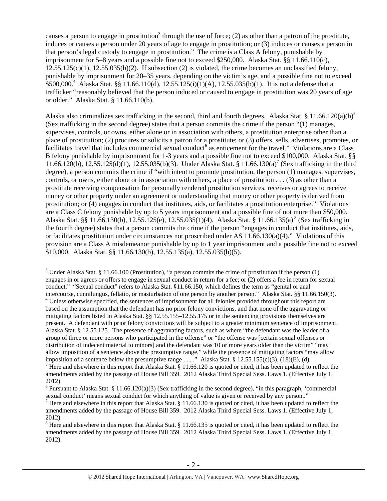causes a person to engage in prostitution<sup>3</sup> through the use of force; (2) as other than a patron of the prostitute, induces or causes a person under 20 years of age to engage in prostitution; or (3) induces or causes a person in that person's legal custody to engage in prostitution." The crime is a Class A felony, punishable by imprisonment for 5–8 years and a possible fine not to exceed \$250,000. Alaska Stat. §§ 11.66.110(c),  $12.55.125(c)(1)$ ,  $12.55.035(b)(2)$ . If subsection (2) is violated, the crime becomes an unclassified felony, punishable by imprisonment for 20–35 years, depending on the victim's age, and a possible fine not to exceed  $$500,000.<sup>4</sup>$  Alaska Stat. §§ 11.66.110(d), 12.55.125(i)(1)(A), 12.55.035(b)(1). It is not a defense that a trafficker "reasonably believed that the person induced or caused to engage in prostitution was 20 years of age or older." Alaska Stat. § 11.66.110(b).

Alaska also criminalizes sex trafficking in the second, third and fourth degrees. Alaska Stat. § 11.66.120(a)(b)<sup>5</sup> (Sex trafficking in the second degree) states that a person commits the crime if the person "(1) manages, supervises, controls, or owns, either alone or in association with others, a prostitution enterprise other than a place of prostitution; (2) procures or solicits a patron for a prostitute; or (3) offers, sells, advertises, promotes, or facilitates travel that includes commercial sexual conduct  $6$  as enticement for the travel." Violations are a Class B felony punishable by imprisonment for 1-3 years and a possible fine not to exceed \$100,000. Alaska Stat. §§ 11.66.120(b), 12.55.125(d)(1), 12.55.035(b)(3). Under Alaska Stat. § 11.66.130(a)<sup>7</sup> (Sex trafficking in the third degree), a person commits the crime if "with intent to promote prostitution, the person (1) manages, supervises, controls, or owns, either alone or in association with others, a place of prostitution  $\dots$  (3) as other than a prostitute receiving compensation for personally rendered prostitution services, receives or agrees to receive money or other property under an agreement or understanding that money or other property is derived from prostitution; or (4) engages in conduct that institutes, aids, or facilitates a prostitution enterprise." Violations are a Class C felony punishable by up to 5 years imprisonment and a possible fine of not more than \$50,000. Alaska Stat. §§ 11.66.130(b), 12.55.125(e), 12.55.035(1)(4). Alaska Stat. § 11.66.135(a) 8 (Sex trafficking in the fourth degree) states that a person commits the crime if the person "engages in conduct that institutes, aids, or facilitates prostitution under circumstances not proscribed under AS 11.66.130(a)(4)." Violations of this provision are a Class A misdemeanor punishable by up to 1 year imprisonment and a possible fine not to exceed \$10,000. Alaska Stat. §§ 11.66.130(b), 12.55.135(a), 12.55.035(b)(5).

 $\overline{a}$ <sup>3</sup> Under Alaska Stat. § 11.66.100 (Prostitution), "a person commits the crime of prostitution if the person  $(1)$ engages in or agrees or offers to engage in sexual conduct in return for a fee; or (2) offers a fee in return for sexual conduct." "Sexual conduct" refers to Alaska Stat. §11.66.150, which defines the term as "genital or anal intercourse, cunnilungus, fellatio, or masturbation of one person by another person." Alaska Stat. §§ 11.66.150(3).

<sup>&</sup>lt;sup>4</sup> Unless otherwise specified, the sentences of imprisonment for all felonies provided throughout this report are based on the assumption that the defendant has no prior felony convictions, and that none of the aggravating or mitigating factors listed in Alaska Stat. §§ 12.55.155–12.55.175 or in the sentencing provisions themselves are present. A defendant with prior felony convictions will be subject to a greater minimum sentence of imprisonment. Alaska Stat. § 12.55.125. The presence of aggravating factors, such as where "the defendant was the leader of a group of three or more persons who participated in the offense" or "the offense was [certain sexual offenses or distribution of indecent material to minors] and the defendant was 10 or more years older than the victim" "may allow imposition of a sentence above the presumptive range," while the presence of mitigating factors "may allow imposition of a sentence below the presumptive range . . . ." Alaska Stat. § 12.55.155(c)(3), (18)(E), (d).

 $<sup>5</sup>$  Here and elsewhere in this report that Alaska Stat. § 11.66.120 is quoted or cited, it has been updated to reflect the</sup> amendments added by the passage of House Bill 359. 2012 Alaska Third Special Sess. Laws 1. (Effective July 1, 2012).

<sup>&</sup>lt;sup>6</sup> Pursuant to Alaska Stat. § 11.66.120(a)(3) (Sex trafficking in the second degree), "in this paragraph, 'commercial sexual conduct' means sexual conduct for which anything of value is given or received by any person.."

<sup>&</sup>lt;sup>7</sup> Here and elsewhere in this report that Alaska Stat. § 11.66.130 is quoted or cited, it has been updated to reflect the amendments added by the passage of House Bill 359. 2012 Alaska Third Special Sess. Laws 1. (Effective July 1, 2012).

 $8$  Here and elsewhere in this report that Alaska Stat. § 11.66.135 is quoted or cited, it has been updated to reflect the amendments added by the passage of House Bill 359. 2012 Alaska Third Special Sess. Laws 1. (Effective July 1, 2012).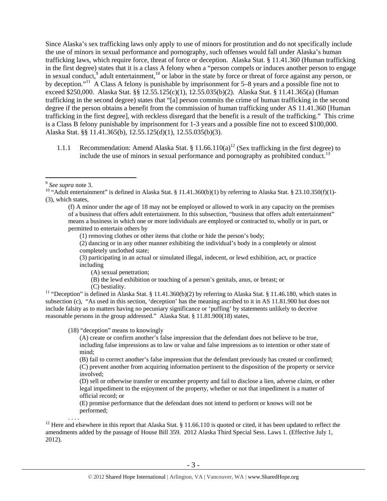Since Alaska's sex trafficking laws only apply to use of minors for prostitution and do not specifically include the use of minors in sexual performance and pornography, such offenses would fall under Alaska's human trafficking laws, which require force, threat of force or deception. Alaska Stat. § 11.41.360 (Human trafficking in the first degree) states that it is a class A felony when a "person compels or induces another person to engage in sexual conduct,<sup>9</sup> adult entertainment,<sup>10</sup> or labor in the state by force or threat of force against any person, or by deception."11 A Class A felony is punishable by imprisonment for 5–8 years and a possible fine not to exceed \$250,000. Alaska Stat. §§ 12.55.125(c)(1), 12.55.035(b)(2). Alaska Stat. § 11.41.365(a) (Human trafficking in the second degree) states that "[a] person commits the crime of human trafficking in the second degree if the person obtains a benefit from the commission of human trafficking under AS 11.41.360 [Human trafficking in the first degree], with reckless disregard that the benefit is a result of the trafficking." This crime is a Class B felony punishable by imprisonment for 1-3 years and a possible fine not to exceed \$100,000. Alaska Stat. §§ 11.41.365(b), 12.55.125(d)(1), 12.55.035(b)(3).

1.1.1 Recommendation: Amend Alaska Stat. § 11.66.110(a)<sup>12</sup> (Sex trafficking in the first degree) to include the use of minors in sexual performance and pornography as prohibited conduct.<sup>13</sup>

 $\overline{a}$ 

(1) removing clothes or other items that clothe or hide the person's body;

(2) dancing or in any other manner exhibiting the individual's body in a completely or almost completely unclothed state;

(3) participating in an actual or simulated illegal, indecent, or lewd exhibition, act, or practice including

(A) sexual penetration;

(B) the lewd exhibition or touching of a person's genitals, anus, or breast; or

(C) bestiality.<br><sup>11</sup> "Deception" is defined in Alaska Stat. § 11.41.360(b)(2) by referring to Alaska Stat. § 11.46.180, which states in subsection (c), "As used in this section, 'deception' has the meaning ascribed to it in AS 11.81.900 but does not include falsity as to matters having no pecuniary significance or 'puffing' by statements unlikely to deceive reasonable persons in the group addressed." Alaska Stat. § 11.81.900(18) states,

(18) "deception" means to knowingly

(A) create or confirm another's false impression that the defendant does not believe to be true, including false impressions as to law or value and false impressions as to intention or other state of mind;

(B) fail to correct another's false impression that the defendant previously has created or confirmed; (C) prevent another from acquiring information pertinent to the disposition of the property or service involved;

(D) sell or otherwise transfer or encumber property and fail to disclose a lien, adverse claim, or other legal impediment to the enjoyment of the property, whether or not that impediment is a matter of official record; or

(E) promise performance that the defendant does not intend to perform or knows will not be performed;

<sup>12</sup> Here and elsewhere in this report that Alaska Stat. § 11.66.110 is quoted or cited, it has been updated to reflect the amendments added by the passage of House Bill 359. 2012 Alaska Third Special Sess. Laws 1. (Effective July 1, 2012).

<sup>&</sup>lt;sup>9</sup> See supra note 3.<br><sup>10</sup> "Adult entertainment" is defined in Alaska Stat. § 11.41.360(b)(1) by referring to Alaska Stat. § 23.10.350(f)(1)-(3), which states,

<sup>(</sup>f) A minor under the age of 18 may not be employed or allowed to work in any capacity on the premises of a business that offers adult entertainment. In this subsection, "business that offers adult entertainment" means a business in which one or more individuals are employed or contracted to, wholly or in part, or permitted to entertain others by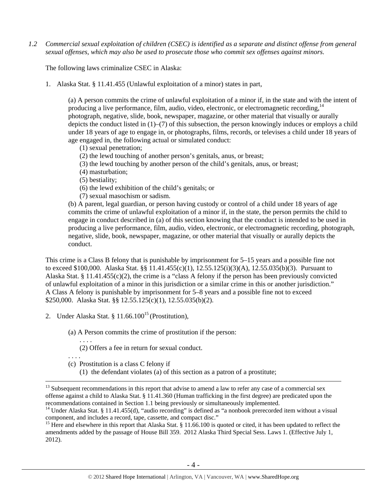*1.2 Commercial sexual exploitation of children (CSEC) is identified as a separate and distinct offense from general sexual offenses, which may also be used to prosecute those who commit sex offenses against minors.* 

The following laws criminalize CSEC in Alaska:

1. Alaska Stat. § 11.41.455 (Unlawful exploitation of a minor) states in part,

(a) A person commits the crime of unlawful exploitation of a minor if, in the state and with the intent of producing a live performance, film, audio, video, electronic, or electromagnetic recording,  $14$ photograph, negative, slide, book, newspaper, magazine, or other material that visually or aurally depicts the conduct listed in (1)–(7) of this subsection, the person knowingly induces or employs a child under 18 years of age to engage in, or photographs, films, records, or televises a child under 18 years of age engaged in, the following actual or simulated conduct:

- (1) sexual penetration;
- (2) the lewd touching of another person's genitals, anus, or breast;
- (3) the lewd touching by another person of the child's genitals, anus, or breast;
- (4) masturbation;
- (5) bestiality;
- (6) the lewd exhibition of the child's genitals; or
- (7) sexual masochism or sadism.

(b) A parent, legal guardian, or person having custody or control of a child under 18 years of age commits the crime of unlawful exploitation of a minor if, in the state, the person permits the child to engage in conduct described in (a) of this section knowing that the conduct is intended to be used in producing a live performance, film, audio, video, electronic, or electromagnetic recording, photograph, negative, slide, book, newspaper, magazine, or other material that visually or aurally depicts the conduct.

This crime is a Class B felony that is punishable by imprisonment for 5–15 years and a possible fine not to exceed \$100,000. Alaska Stat. §§ 11.41.455(c)(1), 12.55.125(i)(3)(A), 12.55.035(b)(3). Pursuant to Alaska Stat. § 11.41.455(c)(2), the crime is a "class A felony if the person has been previously convicted of unlawful exploitation of a minor in this jurisdiction or a similar crime in this or another jurisdiction." A Class A felony is punishable by imprisonment for 5–8 years and a possible fine not to exceed \$250,000. Alaska Stat. §§ 12.55.125(c)(1), 12.55.035(b)(2).

- 2. Under Alaska Stat. §  $11.66.100^{15}$  (Prostitution),
	- (a) A Person commits the crime of prostitution if the person:
		- . . . . (2) Offers a fee in return for sexual conduct.
	- . . . .
	- (c) Prostitution is a class C felony if
		- (1) the defendant violates (a) of this section as a patron of a prostitute;

<sup>&</sup>lt;sup>13</sup> Subsequent recommendations in this report that advise to amend a law to refer any case of a commercial sex offense against a child to Alaska Stat. § 11.41.360 (Human trafficking in the first degree) are predicated upon the recommendations contained in Section 1.1 being previously or simultaneously implemented.

<sup>&</sup>lt;sup>14</sup> Under Alaska Stat. § 11.41.455(d), "audio recording" is defined as "a nonbook prerecorded item without a visual component, and includes a record, tape, cassette, and compact disc."

<sup>&</sup>lt;sup>15</sup> Here and elsewhere in this report that Alaska Stat. § 11.66.100 is quoted or cited, it has been updated to reflect the amendments added by the passage of House Bill 359. 2012 Alaska Third Special Sess. Laws 1. (Effective July 1, 2012).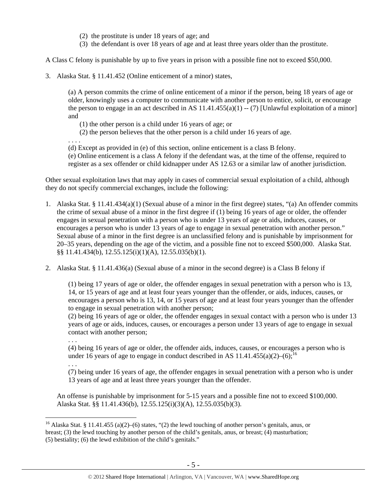- (2) the prostitute is under 18 years of age; and
- (3) the defendant is over 18 years of age and at least three years older than the prostitute.

A Class C felony is punishable by up to five years in prison with a possible fine not to exceed \$50,000.

3. Alaska Stat. § 11.41.452 (Online enticement of a minor) states,

(a) A person commits the crime of online enticement of a minor if the person, being 18 years of age or older, knowingly uses a computer to communicate with another person to entice, solicit, or encourage the person to engage in an act described in AS  $11.41.455(a)(1) - (7)$  [Unlawful exploitation of a minor] and

- (1) the other person is a child under 16 years of age; or
- (2) the person believes that the other person is a child under 16 years of age.

. . . .

(d) Except as provided in (e) of this section, online enticement is a class B felony.

(e) Online enticement is a class A felony if the defendant was, at the time of the offense, required to register as a sex offender or child kidnapper under AS 12.63 or a similar law of another jurisdiction.

Other sexual exploitation laws that may apply in cases of commercial sexual exploitation of a child, although they do not specify commercial exchanges, include the following:

- 1. Alaska Stat. § 11.41.434(a)(1) (Sexual abuse of a minor in the first degree) states, "(a) An offender commits the crime of sexual abuse of a minor in the first degree if (1) being 16 years of age or older, the offender engages in sexual penetration with a person who is under 13 years of age or aids, induces, causes, or encourages a person who is under 13 years of age to engage in sexual penetration with another person." Sexual abuse of a minor in the first degree is an unclassified felony and is punishable by imprisonment for 20–35 years, depending on the age of the victim, and a possible fine not to exceed \$500,000. Alaska Stat. §§ 11.41.434(b), 12.55.125(i)(1)(A), 12.55.035(b)(1).
- 2. Alaska Stat. § 11.41.436(a) (Sexual abuse of a minor in the second degree) is a Class B felony if

(1) being 17 years of age or older, the offender engages in sexual penetration with a person who is 13, 14, or 15 years of age and at least four years younger than the offender, or aids, induces, causes, or encourages a person who is 13, 14, or 15 years of age and at least four years younger than the offender to engage in sexual penetration with another person;

(2) being 16 years of age or older, the offender engages in sexual contact with a person who is under 13 years of age or aids, induces, causes, or encourages a person under 13 years of age to engage in sexual contact with another person;

. . .

. . .

 $\overline{a}$ 

(4) being 16 years of age or older, the offender aids, induces, causes, or encourages a person who is under 16 years of age to engage in conduct described in AS  $11.41.455(a)(2)$ –(6);<sup>16</sup>

(7) being under 16 years of age, the offender engages in sexual penetration with a person who is under 13 years of age and at least three years younger than the offender.

An offense is punishable by imprisonment for 5-15 years and a possible fine not to exceed \$100,000. Alaska Stat. §§ 11.41.436(b), 12.55.125(i)(3)(A), 12.55.035(b)(3).

<sup>&</sup>lt;sup>16</sup> Alaska Stat. § 11.41.455 (a)(2)–(6) states, "(2) the lewd touching of another person's genitals, anus, or breast; (3) the lewd touching by another person of the child's genitals, anus, or breast; (4) masturbation; (5) bestiality; (6) the lewd exhibition of the child's genitals."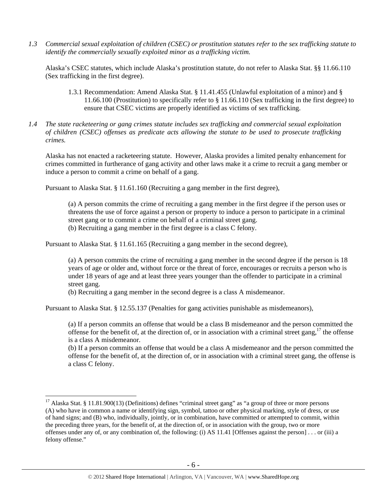*1.3 Commercial sexual exploitation of children (CSEC) or prostitution statutes refer to the sex trafficking statute to identify the commercially sexually exploited minor as a trafficking victim.* 

Alaska's CSEC statutes, which include Alaska's prostitution statute, do not refer to Alaska Stat. §§ 11.66.110 (Sex trafficking in the first degree).

- 1.3.1 Recommendation: Amend Alaska Stat. § 11.41.455 (Unlawful exploitation of a minor) and § 11.66.100 (Prostitution) to specifically refer to § 11.66.110 (Sex trafficking in the first degree) to ensure that CSEC victims are properly identified as victims of sex trafficking.
- *1.4 The state racketeering or gang crimes statute includes sex trafficking and commercial sexual exploitation of children (CSEC) offenses as predicate acts allowing the statute to be used to prosecute trafficking crimes.*

Alaska has not enacted a racketeering statute. However, Alaska provides a limited penalty enhancement for crimes committed in furtherance of gang activity and other laws make it a crime to recruit a gang member or induce a person to commit a crime on behalf of a gang.

Pursuant to Alaska Stat. § 11.61.160 (Recruiting a gang member in the first degree),

(a) A person commits the crime of recruiting a gang member in the first degree if the person uses or threatens the use of force against a person or property to induce a person to participate in a criminal street gang or to commit a crime on behalf of a criminal street gang. (b) Recruiting a gang member in the first degree is a class C felony.

Pursuant to Alaska Stat. § 11.61.165 (Recruiting a gang member in the second degree),

(a) A person commits the crime of recruiting a gang member in the second degree if the person is 18 years of age or older and, without force or the threat of force, encourages or recruits a person who is under 18 years of age and at least three years younger than the offender to participate in a criminal street gang.

(b) Recruiting a gang member in the second degree is a class A misdemeanor.

Pursuant to Alaska Stat. § 12.55.137 (Penalties for gang activities punishable as misdemeanors),

 $\overline{a}$ 

(a) If a person commits an offense that would be a class B misdemeanor and the person committed the offense for the benefit of, at the direction of, or in association with a criminal street gang, $17$  the offense is a class A misdemeanor.

(b) If a person commits an offense that would be a class A misdemeanor and the person committed the offense for the benefit of, at the direction of, or in association with a criminal street gang, the offense is a class C felony.

 $17$  Alaska Stat. § 11.81.900(13) (Definitions) defines "criminal street gang" as "a group of three or more persons (A) who have in common a name or identifying sign, symbol, tattoo or other physical marking, style of dress, or use of hand signs; and (B) who, individually, jointly, or in combination, have committed or attempted to commit, within the preceding three years, for the benefit of, at the direction of, or in association with the group, two or more offenses under any of, or any combination of, the following: (i) AS 11.41 [Offenses against the person] . . . or (iii) a felony offense."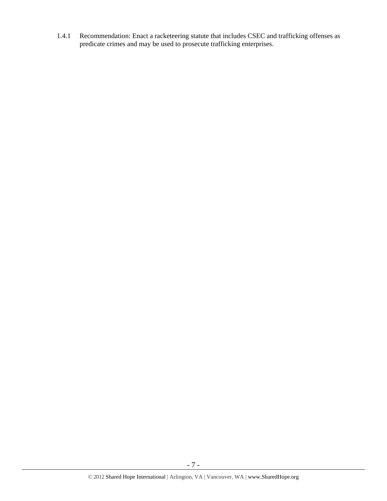1.4.1 Recommendation: Enact a racketeering statute that includes CSEC and trafficking offenses as predicate crimes and may be used to prosecute trafficking enterprises.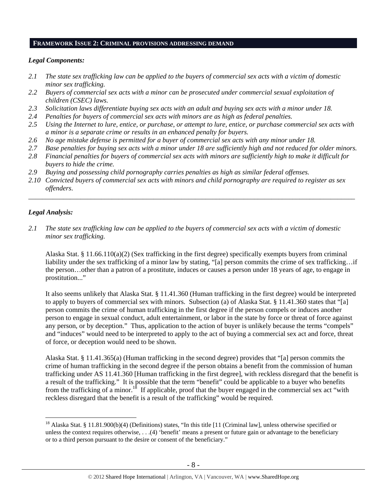## **FRAMEWORK ISSUE 2: CRIMINAL PROVISIONS ADDRESSING DEMAND**

# *Legal Components:*

- *2.1 The state sex trafficking law can be applied to the buyers of commercial sex acts with a victim of domestic minor sex trafficking.*
- *2.2 Buyers of commercial sex acts with a minor can be prosecuted under commercial sexual exploitation of children (CSEC) laws.*
- *2.3 Solicitation laws differentiate buying sex acts with an adult and buying sex acts with a minor under 18.*
- *2.4 Penalties for buyers of commercial sex acts with minors are as high as federal penalties.*
- *2.5 Using the Internet to lure, entice, or purchase, or attempt to lure, entice, or purchase commercial sex acts with a minor is a separate crime or results in an enhanced penalty for buyers.*
- *2.6 No age mistake defense is permitted for a buyer of commercial sex acts with any minor under 18.*
- *2.7 Base penalties for buying sex acts with a minor under 18 are sufficiently high and not reduced for older minors.*
- *2.8 Financial penalties for buyers of commercial sex acts with minors are sufficiently high to make it difficult for buyers to hide the crime.*
- *2.9 Buying and possessing child pornography carries penalties as high as similar federal offenses.*
- *2.10 Convicted buyers of commercial sex acts with minors and child pornography are required to register as sex offenders*.

\_\_\_\_\_\_\_\_\_\_\_\_\_\_\_\_\_\_\_\_\_\_\_\_\_\_\_\_\_\_\_\_\_\_\_\_\_\_\_\_\_\_\_\_\_\_\_\_\_\_\_\_\_\_\_\_\_\_\_\_\_\_\_\_\_\_\_\_\_\_\_\_\_\_\_\_\_\_\_\_\_\_\_\_\_\_\_\_\_\_\_\_\_\_

# *Legal Analysis:*

 $\overline{a}$ 

*2.1 The state sex trafficking law can be applied to the buyers of commercial sex acts with a victim of domestic minor sex trafficking.* 

Alaska Stat. § 11.66.110(a)(2) (Sex trafficking in the first degree) specifically exempts buyers from criminal liability under the sex trafficking of a minor law by stating, "[a] person commits the crime of sex trafficking…if the person…other than a patron of a prostitute, induces or causes a person under 18 years of age, to engage in prostitution..."

It also seems unlikely that Alaska Stat. § 11.41.360 (Human trafficking in the first degree) would be interpreted to apply to buyers of commercial sex with minors. Subsection (a) of Alaska Stat. § 11.41.360 states that "[a] person commits the crime of human trafficking in the first degree if the person compels or induces another person to engage in sexual conduct, adult entertainment, or labor in the state by force or threat of force against any person, or by deception." Thus, application to the action of buyer is unlikely because the terms "compels" and "induces" would need to be interpreted to apply to the act of buying a commercial sex act and force, threat of force, or deception would need to be shown.

Alaska Stat. § 11.41.365(a) (Human trafficking in the second degree) provides that "[a] person commits the crime of human trafficking in the second degree if the person obtains a benefit from the commission of human trafficking under AS 11.41.360 [Human trafficking in the first degree], with reckless disregard that the benefit is a result of the trafficking." It is possible that the term "benefit" could be applicable to a buyer who benefits from the trafficking of a minor.<sup>18</sup> If applicable, proof that the buyer engaged in the commercial sex act "with reckless disregard that the benefit is a result of the trafficking" would be required.

<sup>&</sup>lt;sup>18</sup> Alaska Stat. § 11.81.900(b)(4) (Definitions) states, "In this title [11 (Criminal law], unless otherwise specified or unless the context requires otherwise, . . .(4) 'benefit' means a present or future gain or advantage to the beneficiary or to a third person pursuant to the desire or consent of the beneficiary."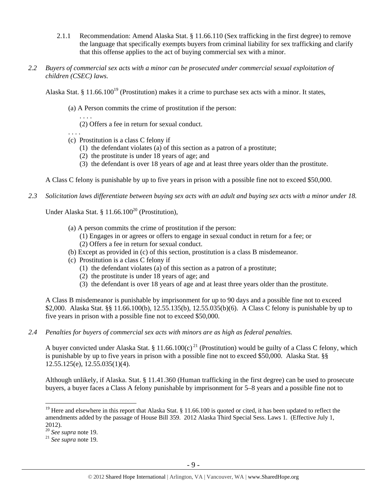- 2.1.1 Recommendation: Amend Alaska Stat. § 11.66.110 (Sex trafficking in the first degree) to remove the language that specifically exempts buyers from criminal liability for sex trafficking and clarify that this offense applies to the act of buying commercial sex with a minor.
- *2.2 Buyers of commercial sex acts with a minor can be prosecuted under commercial sexual exploitation of children (CSEC) laws.*

Alaska Stat. § 11.66.100<sup>19</sup> (Prostitution) makes it a crime to purchase sex acts with a minor. It states,

- (a) A Person commits the crime of prostitution if the person:
	- (2) Offers a fee in return for sexual conduct.

. . . .

. . . .

- (c) Prostitution is a class C felony if
	- (1) the defendant violates (a) of this section as a patron of a prostitute;
	- (2) the prostitute is under 18 years of age; and
	- (3) the defendant is over 18 years of age and at least three years older than the prostitute.

A Class C felony is punishable by up to five years in prison with a possible fine not to exceed \$50,000.

*2.3 Solicitation laws differentiate between buying sex acts with an adult and buying sex acts with a minor under 18.* 

Under Alaska Stat. § 11.66.100<sup>20</sup> (Prostitution),

- (a) A person commits the crime of prostitution if the person:
	- (1) Engages in or agrees or offers to engage in sexual conduct in return for a fee; or
	- (2) Offers a fee in return for sexual conduct.
- (b) Except as provided in (c) of this section, prostitution is a class B misdemeanor.
- (c) Prostitution is a class C felony if
	- (1) the defendant violates (a) of this section as a patron of a prostitute;
	- (2) the prostitute is under 18 years of age; and
	- (3) the defendant is over 18 years of age and at least three years older than the prostitute.

A Class B misdemeanor is punishable by imprisonment for up to 90 days and a possible fine not to exceed \$2,000. Alaska Stat. §§ 11.66.100(b), 12.55.135(b), 12.55.035(b)(6). A Class C felony is punishable by up to five years in prison with a possible fine not to exceed \$50,000.

*2.4 Penalties for buyers of commercial sex acts with minors are as high as federal penalties.* 

A buyer convicted under Alaska Stat. § 11.66.100(c)<sup>21</sup> (Prostitution) would be guilty of a Class C felony, which is punishable by up to five years in prison with a possible fine not to exceed \$50,000. Alaska Stat. §§ 12.55.125(e), 12.55.035(1)(4).

Although unlikely, if Alaska. Stat. § 11.41.360 (Human trafficking in the first degree) can be used to prosecute buyers, a buyer faces a Class A felony punishable by imprisonment for 5–8 years and a possible fine not to

 $\overline{a}$ 

<sup>&</sup>lt;sup>19</sup> Here and elsewhere in this report that Alaska Stat.  $\S$  11.66.100 is quoted or cited, it has been updated to reflect the amendments added by the passage of House Bill 359. 2012 Alaska Third Special Sess. Laws 1. (Effective July 1, 2012).<br> $20$  See supra note 19.

<sup>&</sup>lt;sup>21</sup> See supra note 19.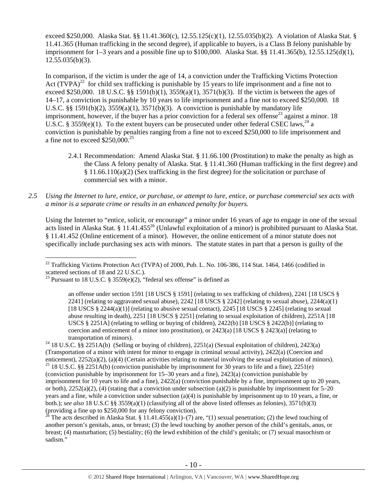exceed \$250,000. Alaska Stat. §§ 11.41.360(c), 12.55.125(c)(1), 12.55.035(b)(2). A violation of Alaska Stat. § 11.41.365 (Human trafficking in the second degree), if applicable to buyers, is a Class B felony punishable by imprisonment for 1–3 years and a possible fine up to \$100,000. Alaska Stat. §§ 11.41.365(b), 12.55.125(d)(1),  $12.55.035(b)(3)$ .

In comparison, if the victim is under the age of 14, a conviction under the Trafficking Victims Protection Act  $(TVPA)^{22}$  for child sex trafficking is punishable by 15 years to life imprisonment and a fine not to exceed \$250,000. 18 U.S.C. §§ 1591(b)(1),  $3559(a)(1)$ ,  $3571(b)(3)$ . If the victim is between the ages of 14–17, a conviction is punishable by 10 years to life imprisonment and a fine not to exceed \$250,000. 18 U.S.C.  $\S$ § 1591(b)(2), 3559(a)(1), 3571(b)(3). A conviction is punishable by mandatory life imprisonment, however, if the buyer has a prior conviction for a federal sex offense<sup>23</sup> against a minor. 18 U.S.C. § 3559(e)(1). To the extent buyers can be prosecuted under other federal CSEC laws,<sup>24</sup> a conviction is punishable by penalties ranging from a fine not to exceed \$250,000 to life imprisonment and a fine not to exceed \$250,000.25

- 2.4.1 Recommendation: Amend Alaska Stat. § 11.66.100 (Prostitution) to make the penalty as high as the Class A felony penalty of Alaska. Stat. § 11.41.360 (Human trafficking in the first degree) and § 11.66.110(a)(2) (Sex trafficking in the first degree) for the solicitation or purchase of commercial sex with a minor.
- *2.5 Using the Internet to lure, entice, or purchase, or attempt to lure, entice, or purchase commercial sex acts with a minor is a separate crime or results in an enhanced penalty for buyers.*

Using the Internet to "entice, solicit, or encourage" a minor under 16 years of age to engage in one of the sexual acts listed in Alaska Stat. § 11.41.455<sup>26</sup> (Unlawful exploitation of a minor) is prohibited pursuant to Alaska Stat. § 11.41.452 (Online enticement of a minor). However, the online enticement of a minor statute does not specifically include purchasing sex acts with minors. The statute states in part that a person is guilty of the

 $\overline{a}$ 

The acts described in Alaska Stat. § 11.41.455(a)(1)–(7) are, "(1) sexual penetration; (2) the lewd touching of another person's genitals, anus, or breast; (3) the lewd touching by another person of the child's genitals, anus, or breast; (4) masturbation; (5) bestiality; (6) the lewd exhibition of the child's genitals; or (7) sexual masochism or sadism."

 $^{22}$  Trafficking Victims Protection Act (TVPA) of 2000, Pub. L. No. 106-386, 114 Stat. 1464, 1466 (codified in scattered sections of 18 and 22 U.S.C.).

<sup>&</sup>lt;sup>23</sup> Pursuant to 18 U.S.C. § 3559(e)(2), "federal sex offense" is defined as

an offense under section 1591 [18 USCS § 1591] (relating to sex trafficking of children), 2241 [18 USCS § 2241] (relating to aggravated sexual abuse), 2242 [18 USCS  $\S$  2242] (relating to sexual abuse), 2244(a)(1) [18 USCS  $\S 2244(a)(1)$ ] (relating to abusive sexual contact), 2245 [18 USCS  $\S 2245$ ] (relating to sexual abuse resulting in death), 2251 [18 USCS § 2251] (relating to sexual exploitation of children), 2251A [18 USCS § 2251A] (relating to selling or buying of children), 2422(b) [18 USCS § 2422(b)] (relating to coercion and enticement of a minor into prostitution), or  $2423(a)$  [18 USCS § 2423(a)] (relating to transportation of minors).<br><sup>24</sup> 18 U.S.C. §§ 2251A(b) (Selling or buying of children), 2251(a) (Sexual exploitation of children), 2423(a)

<sup>(</sup>Transportation of a minor with intent for minor to engage in criminal sexual activity), 2422(a) (Coercion and enticement), 2252(a)(2), (a)(4) (Certain activities relating to material involving the sexual exploitation of minors). <sup>25</sup> 18 U.S.C. §§ 2251A(b) (conviction punishable by imprisonment for 30 years to life and a fine), 22 (conviction punishable by imprisonment for 15–30 years and a fine), 2423(a) (conviction punishable by imprisonment for 10 years to life and a fine), 2422(a) (conviction punishable by a fine, imprisonment up to 20 years, or both),  $2252(a)(2)$ , (4) (stating that a conviction under subsection (a)(2) is punishable by imprisonment for 5–20 years and a fine, while a conviction under subsection (a)(4) is punishable by imprisonment up to 10 years, a fine, or both.); *see also* 18 U.S.C §§ 3559(a)(1) (classifying all of the above listed offenses as felonies), 3571(b)(3) (providing a fine up to \$250,000 for any felony conviction).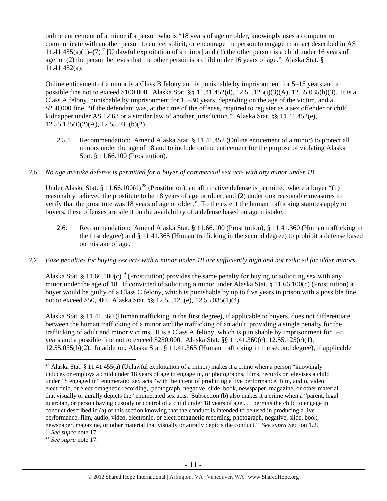online enticement of a minor if a person who is "18 years of age or older, knowingly uses a computer to communicate with another person to entice, solicit, or encourage the person to engage in an act described in AS 11.41.455(a)(1)–(7)<sup>27</sup> [Unlawful exploitation of a minor] and (1) the other person is a child under 16 years of age; or (2) the person believes that the other person is a child under 16 years of age." Alaska Stat. § 11.41.452(a).

Online enticement of a minor is a Class B felony and is punishable by imprisonment for 5–15 years and a possible fine not to exceed \$100,000. Alaska Stat. §§ 11.41.452(d), 12.55.125(i)(3)(A), 12.55.035(b)(3). It is a Class A felony, punishable by imprisonment for 15–30 years, depending on the age of the victim, and a \$250,000 fine, "if the defendant was, at the time of the offense, required to register as a sex offender or child kidnapper under AS 12.63 or a similar law of another jurisdiction." Alaska Stat. §§ 11.41.452(e),  $12.55.125(i)(2)(A)$ ,  $12.55.035(b)(2)$ .

2.5.1 Recommendation: Amend Alaska Stat. § 11.41.452 (Online enticement of a minor) to protect all minors under the age of 18 and to include online enticement for the purpose of violating Alaska Stat. § 11.66.100 (Prostitution).

# *2.6 No age mistake defense is permitted for a buyer of commercial sex acts with any minor under 18.*

Under Alaska Stat. § 11.66.100(d)<sup>28</sup> (Prostitution), an affirmative defense is permitted where a buyer "(1) reasonably believed the prostitute to be 18 years of age or older; and (2) undertook reasonable measures to verify that the prostitute was 18 years of age or older." To the extent the human trafficking statutes apply to buyers, these offenses are silent on the availability of a defense based on age mistake.

2.6.1 Recommendation: Amend Alaska Stat. § 11.66.100 (Prostitution), § 11.41.360 (Human trafficking in the first degree) and § 11.41.365 (Human trafficking in the second degree) to prohibit a defense based on mistake of age.

# *2.7 Base penalties for buying sex acts with a minor under 18 are sufficiently high and not reduced for older minors.*

Alaska Stat. § 11.66.100(c)<sup>29</sup> (Prostitution) provides the same penalty for buying or soliciting sex with any minor under the age of 18. If convicted of soliciting a minor under Alaska Stat. § 11.66.100(c) (Prostitution) a buyer would be guilty of a Class C felony, which is punishable by up to five years in prison with a possible fine not to exceed \$50,000. Alaska Stat. §§ 12.55.125(e), 12.55.035(1)(4).

Alaska Stat. § 11.41.360 (Human trafficking in the first degree), if applicable to buyers, does not differentiate between the human trafficking of a minor and the trafficking of an adult, providing a single penalty for the trafficking of adult and minor victims. It is a Class A felony, which is punishable by imprisonment for 5–8 years and a possible fine not to exceed \$250,000. Alaska Stat. §§ 11.41.360(c), 12.55.125(c)(1), 12.55.035(b)(2). In addition, Alaska Stat. § 11.41.365 (Human trafficking in the second degree), if applicable

 $\overline{a}$ 

<sup>29</sup> *See supra* note 17.

<sup>&</sup>lt;sup>27</sup> Alaska Stat. § 11.41.455(a) (Unlawful exploitation of a minor) makes it a crime when a person "knowingly induces or employs a child under 18 years of age to engage in, or photographs, films, records or televises a child under 18 engaged in" enumerated sex acts "with the intent of producing a live performance, film, audio, video, electronic, or electromagnetic recording, photograph, negative, slide, book, newspaper, magazine, or other material that visually or aurally depicts the" enumerated sex acts. Subsection (b) also makes it a crime when a "parent, legal guardian, or person having custody or control of a child under 18 years of age . . . permits the child to engage in conduct described in (a) of this section knowing that the conduct is intended to be used in producing a live performance, film, audio, video, electronic, or electromagnetic recording, photograph, negative, slide, book, newspaper, magazine, or other material that visually or aurally depicts the conduct." *See supra* Section 1.2. 28 *See supra* note 17.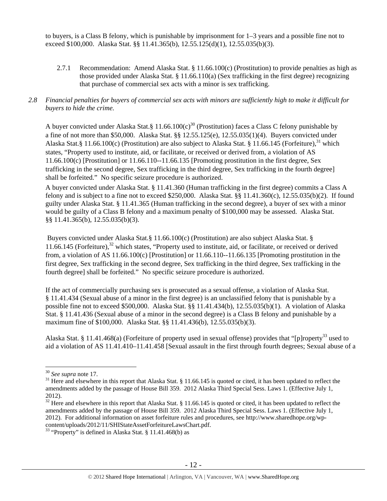to buyers, is a Class B felony, which is punishable by imprisonment for 1–3 years and a possible fine not to exceed \$100,000. Alaska Stat. §§ 11.41.365(b), 12.55.125(d)(1), 12.55.035(b)(3).

2.7.1 Recommendation: Amend Alaska Stat. § 11.66.100(c) (Prostitution) to provide penalties as high as those provided under Alaska Stat. § 11.66.110(a) (Sex trafficking in the first degree) recognizing that purchase of commercial sex acts with a minor is sex trafficking.

# *2.8 Financial penalties for buyers of commercial sex acts with minors are sufficiently high to make it difficult for buyers to hide the crime.*

A buyer convicted under Alaska Stat.§ 11.66.100 $(c)^{30}$  (Prostitution) faces a Class C felony punishable by a fine of not more than \$50,000. Alaska Stat. §§ 12.55.125(e), 12.55.035(1)(4). Buyers convicted under Alaska Stat.§ 11.66.100(c) (Prostitution) are also subject to Alaska Stat. § 11.66.145 (Forfeiture),<sup>31</sup> which states, "Property used to institute, aid, or facilitate, or received or derived from, a violation of AS  $11.66.100(c)$  [Prostitution] or  $11.66.110-11.66.135$  [Promoting prostitution in the first degree, Sex trafficking in the second degree, Sex trafficking in the third degree, Sex trafficking in the fourth degree] shall be forfeited." No specific seizure procedure is authorized.

A buyer convicted under Alaska Stat. § 11.41.360 (Human trafficking in the first degree) commits a Class A felony and is subject to a fine not to exceed \$250,000. Alaska Stat.  $\S$  11.41.360(c), 12.55.035(b)(2). If found guilty under Alaska Stat. § 11.41.365 (Human trafficking in the second degree), a buyer of sex with a minor would be guilty of a Class B felony and a maximum penalty of \$100,000 may be assessed. Alaska Stat. §§ 11.41.365(b), 12.55.035(b)(3).

 Buyers convicted under Alaska Stat.§ 11.66.100(c) (Prostitution) are also subject Alaska Stat. § 11.66.145 (Forfeiture), $32$  which states, "Property used to institute, aid, or facilitate, or received or derived from, a violation of AS 11.66.100(c) [Prostitution] or 11.66.110--11.66.135 [Promoting prostitution in the first degree, Sex trafficking in the second degree, Sex trafficking in the third degree, Sex trafficking in the fourth degree] shall be forfeited." No specific seizure procedure is authorized.

If the act of commercially purchasing sex is prosecuted as a sexual offense, a violation of Alaska Stat. § 11.41.434 (Sexual abuse of a minor in the first degree) is an unclassified felony that is punishable by a possible fine not to exceed \$500,000. Alaska Stat. §§ 11.41.434(b), 12.55.035(b)(1). A violation of Alaska Stat. § 11.41.436 (Sexual abuse of a minor in the second degree) is a Class B felony and punishable by a maximum fine of \$100,000. Alaska Stat. §§ 11.41.436(b), 12.55.035(b)(3).

Alaska Stat. § 11.41.468(a) (Forfeiture of property used in sexual offense) provides that "[p]roperty<sup>33</sup> used to aid a violation of AS 11.41.410–11.41.458 [Sexual assault in the first through fourth degrees; Sexual abuse of a

 $\overline{a}$ 

<sup>&</sup>lt;sup>30</sup> *See supra* note 17.<br><sup>31</sup> Here and elsewhere in this report that Alaska Stat. § 11.66.145 is quoted or cited, it has been updated to reflect the amendments added by the passage of House Bill 359. 2012 Alaska Third Special Sess. Laws 1. (Effective July 1, 2012).

 $\frac{32}{32}$  Here and elsewhere in this report that Alaska Stat. § 11.66.145 is quoted or cited, it has been updated to reflect the amendments added by the passage of House Bill 359. 2012 Alaska Third Special Sess. Laws 1. (Effective July 1, 2012). For additional information on asset forfeiture rules and procedures, see http://www.sharedhope.org/wpcontent/uploads/2012/11/SHIStateAssetForfeitureLawsChart.pdf. 33 "Property" is defined in Alaska Stat. § 11.41.468(b) as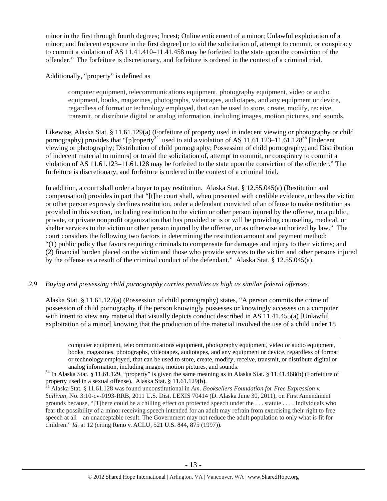minor in the first through fourth degrees; Incest; Online enticement of a minor; Unlawful exploitation of a minor; and Indecent exposure in the first degree] or to aid the solicitation of, attempt to commit, or conspiracy to commit a violation of AS 11.41.410–11.41.458 may be forfeited to the state upon the conviction of the offender." The forfeiture is discretionary, and forfeiture is ordered in the context of a criminal trial.

Additionally, "property" is defined as

computer equipment, telecommunications equipment, photography equipment, video or audio equipment, books, magazines, photographs, videotapes, audiotapes, and any equipment or device, regardless of format or technology employed, that can be used to store, create, modify, receive, transmit, or distribute digital or analog information, including images, motion pictures, and sounds.

Likewise, Alaska Stat. § 11.61.129(a) (Forfeiture of property used in indecent viewing or photography or child pornography) provides that "[p]roperty<sup>34</sup> used to aid a violation of AS 11.61.123–11.61.128<sup>35</sup> [Indecent] viewing or photography; Distribution of child pornography; Possession of child pornography; and Distribution of indecent material to minors] or to aid the solicitation of, attempt to commit, or conspiracy to commit a violation of AS 11.61.123–11.61.128 may be forfeited to the state upon the conviction of the offender." The forfeiture is discretionary, and forfeiture is ordered in the context of a criminal trial.

In addition, a court shall order a buyer to pay restitution. Alaska Stat. § 12.55.045(a) (Restitution and compensation) provides in part that "[t]he court shall, when presented with credible evidence, unless the victim or other person expressly declines restitution, order a defendant convicted of an offense to make restitution as provided in this section, including restitution to the victim or other person injured by the offense, to a public, private, or private nonprofit organization that has provided or is or will be providing counseling, medical, or shelter services to the victim or other person injured by the offense, or as otherwise authorized by law." The court considers the following two factors in determining the restitution amount and payment method: "(1) public policy that favors requiring criminals to compensate for damages and injury to their victims; and (2) financial burden placed on the victim and those who provide services to the victim and other persons injured by the offense as a result of the criminal conduct of the defendant." Alaska Stat. § 12.55.045(a).

# *2.9 Buying and possessing child pornography carries penalties as high as similar federal offenses.*

Alaska Stat. § 11.61.127(a) (Possession of child pornography) states, "A person commits the crime of possession of child pornography if the person knowingly possesses or knowingly accesses on a computer with intent to view any material that visually depicts conduct described in AS 11.41.455(a) [Unlawful exploitation of a minor] knowing that the production of the material involved the use of a child under 18

 computer equipment, telecommunications equipment, photography equipment, video or audio equipment, books, magazines, photographs, videotapes, audiotapes, and any equipment or device, regardless of format or technology employed, that can be used to store, create, modify, receive, transmit, or distribute digital or

analog information, including images, motion pictures, and sounds.<br><sup>34</sup> In Alaska Stat. § 11.61.129, "property" is given the same meaning as in Alaska Stat. § 11.41.468(b) (Forfeiture of property used in a sexual offense).

<sup>&</sup>lt;sup>35</sup> Alaska Stat. § 11.61.128 was found unconstitutional in *Am. Booksellers Foundation for Free Expression v. Sullivan*, No. 3:10-cv-0193-RRB, 2011 U.S. Dist. LEXIS 70414 (D. Alaska June 30, 2011), on First Amendment grounds because, "[T]here could be a chilling effect on protected speech under the . . . statute . . . . Individuals who fear the possibility of a minor receiving speech intended for an adult may refrain from exercising their right to free speech at all—an unacceptable result. The Government may not reduce the adult population to only what is fit for children." *Id.* at 12 (citing Reno v. ACLU, 521 U.S. 844, 875 (1997)).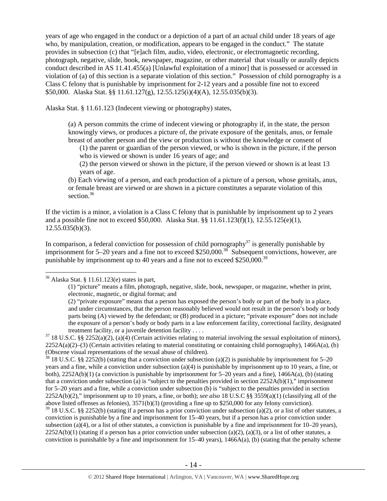years of age who engaged in the conduct or a depiction of a part of an actual child under 18 years of age who, by manipulation, creation, or modification, appears to be engaged in the conduct." The statute provides in subsection (c) that "[e]ach film, audio, video, electronic, or electromagnetic recording, photograph, negative, slide, book, newspaper, magazine, or other material that visually or aurally depicts conduct described in AS 11.41.455(a) [Unlawful exploitation of a minor] that is possessed or accessed in violation of (a) of this section is a separate violation of this section." Possession of child pornography is a Class C felony that is punishable by imprisonment for 2-12 years and a possible fine not to exceed \$50,000. Alaska Stat. §§ 11.61.127(g), 12.55.125(i)(4)(A), 12.55.035(b)(3).

Alaska Stat. § 11.61.123 (Indecent viewing or photography) states,

(a) A person commits the crime of indecent viewing or photography if, in the state, the person knowingly views, or produces a picture of, the private exposure of the genitals, anus, or female breast of another person and the view or production is without the knowledge or consent of

(1) the parent or guardian of the person viewed, or who is shown in the picture, if the person who is viewed or shown is under 16 years of age; and

(2) the person viewed or shown in the picture, if the person viewed or shown is at least 13 years of age.

(b) Each viewing of a person, and each production of a picture of a person, whose genitals, anus, or female breast are viewed or are shown in a picture constitutes a separate violation of this section.<sup>36</sup>

If the victim is a minor, a violation is a Class C felony that is punishable by imprisonment up to 2 years and a possible fine not to exceed \$50,000. Alaska Stat. §§ 11.61.123(f)(1), 12.55.125(e)(1), 12.55.035(b)(3).

In comparison, a federal conviction for possession of child pornography<sup>37</sup> is generally punishable by imprisonment for  $5-20$  years and a fine not to exceed \$250,000.<sup>38</sup> Subsequent convictions, however, are punishable by imprisonment up to 40 years and a fine not to exceed \$250,000.<sup>39</sup>

# $36$  Alaska Stat. § 11.61.123(e) states in part,

 $\overline{a}$ 

<sup>38</sup> 18 U.S.C. §§ 2252(b) (stating that a conviction under subsection (a)(2) is punishable by imprisonment for 5–20 years and a fine, while a conviction under subsection (a)(4) is punishable by imprisonment up to 10 years, a fine, or both), 2252A(b)(1) (a conviction is punishable by imprisonment for 5–20 years and a fine), 1466A(a), (b) (stating that a conviction under subsection (a) is "subject to the penalties provided in section  $2252A(b)(1)$ ," imprisonment for 5–20 years and a fine, while a conviction under subsection (b) is "subject to the penalties provided in section 2252A(b)(2)," imprisonment up to 10 years, a fine, or both); *see also* 18 U.S.C §§ 3559(a)(1) (classifying all of the above listed offenses as felonies), 3571(b)(3) (providing a fine up to \$250,000 for any felony conviction).

 $39$  18 U.S.C. §§ 2252(b) (stating if a person has a prior conviction under subsection (a)(2), or a list of other statutes, a conviction is punishable by a fine and imprisonment for 15–40 years, but if a person has a prior conviction under subsection (a)(4), or a list of other statutes, a conviction is punishable by a fine and imprisonment for  $10-20$  years),  $2252A(b)(1)$  (stating if a person has a prior conviction under subsection (a)(2), (a)(3), or a list of other statutes, a conviction is punishable by a fine and imprisonment for  $15-40$  years),  $1466A(a)$ , (b) (stating that the penalty scheme

<sup>(1) &</sup>quot;picture" means a film, photograph, negative, slide, book, newspaper, or magazine, whether in print, electronic, magnetic, or digital format; and

<sup>(2) &</sup>quot;private exposure" means that a person has exposed the person's body or part of the body in a place, and under circumstances, that the person reasonably believed would not result in the person's body or body parts being (A) viewed by the defendant; or (B) produced in a picture; "private exposure" does not include the exposure of a person's body or body parts in a law enforcement facility, correctional facility, designated treatment facility, or a juvenile detention facility . . . .<br><sup>37</sup> 18 U.S.C. §§ 2252(a)(2), (a)(4) (Certain activities relating to material involving the sexual exploitation of minors),

 $2252A(a)(2)$ –(3) (Certain activities relating to material constituting or containing child pornography), 1466A(a), (b) (Obscene visual representations of the sexual abuse of children).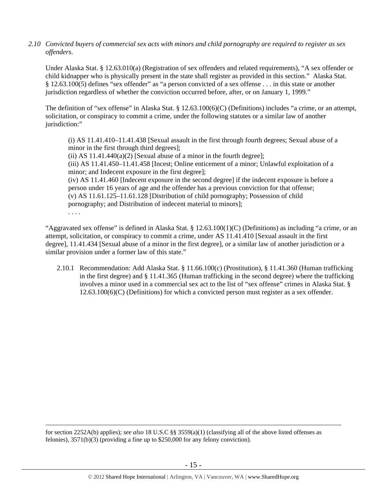*2.10 Convicted buyers of commercial sex acts with minors and child pornography are required to register as sex offenders*.

Under Alaska Stat. § 12.63.010(a) (Registration of sex offenders and related requirements), "A sex offender or child kidnapper who is physically present in the state shall register as provided in this section." Alaska Stat. § 12.63.100(5) defines "sex offender" as "a person convicted of a sex offense . . . in this state or another jurisdiction regardless of whether the conviction occurred before, after, or on January 1, 1999."

The definition of "sex offense" in Alaska Stat. § 12.63.100(6)(C) (Definitions) includes "a crime, or an attempt, solicitation, or conspiracy to commit a crime, under the following statutes or a similar law of another jurisdiction:"

(i) AS 11.41.410–11.41.438 [Sexual assault in the first through fourth degrees; Sexual abuse of a minor in the first through third degrees];

(ii) AS  $11.41.440(a)(2)$  [Sexual abuse of a minor in the fourth degree];

(iii) AS 11.41.450–11.41.458 [Incest; Online enticement of a minor; Unlawful exploitation of a minor; and Indecent exposure in the first degree];

(iv) AS 11.41.460 [Indecent exposure in the second degree] if the indecent exposure is before a person under 16 years of age and the offender has a previous conviction for that offense; (v) AS 11.61.125–11.61.128 [Distribution of child pornography; Possession of child pornography; and Distribution of indecent material to minors];

. . . .

"Aggravated sex offense" is defined in Alaska Stat. §  $12.63.100(1)(C)$  (Definitions) as including "a crime, or an attempt, solicitation, or conspiracy to commit a crime, under AS 11.41.410 [Sexual assault in the first degree], 11.41.434 [Sexual abuse of a minor in the first degree], or a similar law of another jurisdiction or a similar provision under a former law of this state."

2.10.1 Recommendation: Add Alaska Stat. § 11.66.100(c) (Prostitution), § 11.41.360 (Human trafficking in the first degree) and § 11.41.365 (Human trafficking in the second degree) where the trafficking involves a minor used in a commercial sex act to the list of "sex offense" crimes in Alaska Stat. § 12.63.100(6)(C) (Definitions) for which a convicted person must register as a sex offender.

 for section 2252A(b) applies); *see also* 18 U.S.C §§ 3559(a)(1) (classifying all of the above listed offenses as felonies), 3571(b)(3) (providing a fine up to \$250,000 for any felony conviction).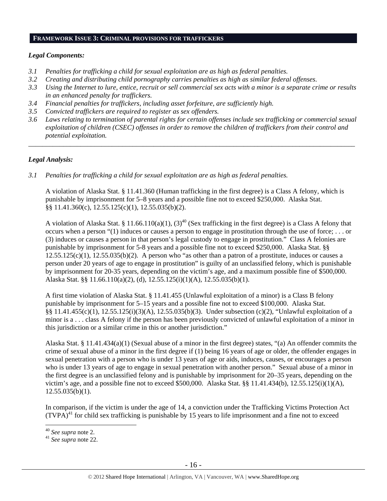# **FRAMEWORK ISSUE 3: CRIMINAL PROVISIONS FOR TRAFFICKERS**

# *Legal Components:*

- *3.1 Penalties for trafficking a child for sexual exploitation are as high as federal penalties.*
- *3.2 Creating and distributing child pornography carries penalties as high as similar federal offenses*.
- *3.3 Using the Internet to lure, entice, recruit or sell commercial sex acts with a minor is a separate crime or results in an enhanced penalty for traffickers.*
- *3.4 Financial penalties for traffickers, including asset forfeiture, are sufficiently high.*
- *3.5 Convicted traffickers are required to register as sex offenders.*
- *3.6 Laws relating to termination of parental rights for certain offenses include sex trafficking or commercial sexual exploitation of children (CSEC) offenses in order to remove the children of traffickers from their control and potential exploitation.*

*\_\_\_\_\_\_\_\_\_\_\_\_\_\_\_\_\_\_\_\_\_\_\_\_\_\_\_\_\_\_\_\_\_\_\_\_\_\_\_\_\_\_\_\_\_\_\_\_\_\_\_\_\_\_\_\_\_\_\_\_\_\_\_\_\_\_\_\_\_\_\_\_\_\_\_\_\_\_\_\_\_\_\_\_\_\_\_\_\_\_\_\_\_\_* 

# *Legal Analysis:*

*3.1 Penalties for trafficking a child for sexual exploitation are as high as federal penalties.* 

A violation of Alaska Stat. § 11.41.360 (Human trafficking in the first degree) is a Class A felony, which is punishable by imprisonment for 5–8 years and a possible fine not to exceed \$250,000. Alaska Stat. §§ 11.41.360(c), 12.55.125(c)(1), 12.55.035(b)(2).

A violation of Alaska Stat. § 11.66.110(a)(1), (3)<sup>40</sup> (Sex trafficking in the first degree) is a Class A felony that occurs when a person " $(1)$  induces or causes a person to engage in prostitution through the use of force; ... or (3) induces or causes a person in that person's legal custody to engage in prostitution." Class A felonies are punishable by imprisonment for 5-8 years and a possible fine not to exceed \$250,000. Alaska Stat. §§  $12.55.125(c)(1)$ ,  $12.55.035(b)(2)$ . A person who "as other than a patron of a prostitute, induces or causes a person under 20 years of age to engage in prostitution" is guilty of an unclassified felony, which is punishable by imprisonment for 20-35 years, depending on the victim's age, and a maximum possible fine of \$500,000. Alaska Stat. §§ 11.66.110(a)(2), (d), 12.55.125(i)(1)(A), 12.55.035(b)(1).

A first time violation of Alaska Stat. § 11.41.455 (Unlawful exploitation of a minor) is a Class B felony punishable by imprisonment for 5–15 years and a possible fine not to exceed \$100,000. Alaska Stat. §§ 11.41.455(c)(1), 12.55.125(i)(3)(A), 12.55.035(b)(3). Under subsection (c)(2), "Unlawful exploitation of a minor is a . . . class A felony if the person has been previously convicted of unlawful exploitation of a minor in this jurisdiction or a similar crime in this or another jurisdiction."

Alaska Stat. § 11.41.434(a)(1) (Sexual abuse of a minor in the first degree) states, "(a) An offender commits the crime of sexual abuse of a minor in the first degree if (1) being 16 years of age or older, the offender engages in sexual penetration with a person who is under 13 years of age or aids, induces, causes, or encourages a person who is under 13 years of age to engage in sexual penetration with another person." Sexual abuse of a minor in the first degree is an unclassified felony and is punishable by imprisonment for 20–35 years, depending on the victim's age, and a possible fine not to exceed \$500,000. Alaska Stat. §§ 11.41.434(b), 12.55.125(i)(1)(A),  $12.55.035(b)(1)$ .

In comparison, if the victim is under the age of 14, a conviction under the Trafficking Victims Protection Act  $(TVPA)^{41}$  for child sex trafficking is punishable by 15 years to life imprisonment and a fine not to exceed

<sup>&</sup>lt;sup>40</sup> See supra note 2.

<sup>&</sup>lt;sup>41</sup> See supra note 22.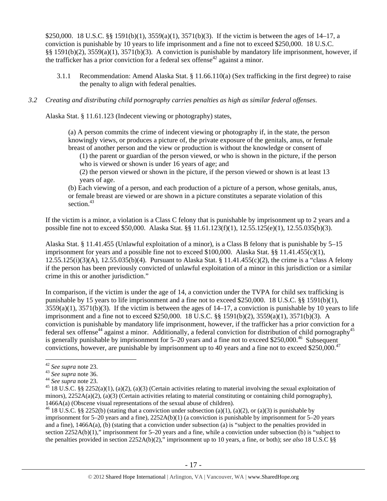\$250,000. 18 U.S.C. §§ 1591(b)(1), 3559(a)(1), 3571(b)(3). If the victim is between the ages of 14–17, a conviction is punishable by 10 years to life imprisonment and a fine not to exceed \$250,000. 18 U.S.C. §§ 1591(b)(2), 3559(a)(1), 3571(b)(3). A conviction is punishable by mandatory life imprisonment, however, if the trafficker has a prior conviction for a federal sex offense<sup>42</sup> against a minor.

3.1.1 Recommendation: Amend Alaska Stat. § 11.66.110(a) (Sex trafficking in the first degree) to raise the penalty to align with federal penalties.

#### *3.2 Creating and distributing child pornography carries penalties as high as similar federal offenses*.

Alaska Stat. § 11.61.123 (Indecent viewing or photography) states,

(a) A person commits the crime of indecent viewing or photography if, in the state, the person knowingly views, or produces a picture of, the private exposure of the genitals, anus, or female breast of another person and the view or production is without the knowledge or consent of

(1) the parent or guardian of the person viewed, or who is shown in the picture, if the person who is viewed or shown is under 16 years of age; and

(2) the person viewed or shown in the picture, if the person viewed or shown is at least 13 years of age.

(b) Each viewing of a person, and each production of a picture of a person, whose genitals, anus, or female breast are viewed or are shown in a picture constitutes a separate violation of this section. $43$ 

If the victim is a minor, a violation is a Class C felony that is punishable by imprisonment up to 2 years and a possible fine not to exceed \$50,000. Alaska Stat. §§ 11.61.123(f)(1), 12.55.125(e)(1), 12.55.035(b)(3).

Alaska Stat. § 11.41.455 (Unlawful exploitation of a minor), is a Class B felony that is punishable by 5–15 imprisonment for years and a possible fine not to exceed \$100,000. Alaska Stat. §§ 11.41.455(c)(1), 12.55.125(i)(3)(A), 12.55.035(b)(4). Pursuant to Alaska Stat. § 11.41.455(c)(2), the crime is a "class A felony if the person has been previously convicted of unlawful exploitation of a minor in this jurisdiction or a similar crime in this or another jurisdiction."

In comparison, if the victim is under the age of 14, a conviction under the TVPA for child sex trafficking is punishable by 15 years to life imprisonment and a fine not to exceed \$250,000. 18 U.S.C. §§ 1591(b)(1),  $3559(a)(1)$ ,  $3571(b)(3)$ . If the victim is between the ages of  $14-17$ , a conviction is punishable by 10 years to life imprisonment and a fine not to exceed \$250,000. 18 U.S.C. §§ 1591(b)(2), 3559(a)(1), 3571(b)(3). A conviction is punishable by mandatory life imprisonment, however, if the trafficker has a prior conviction for a federal sex offense<sup>44</sup> against a minor. Additionally, a federal conviction for distribution of child pornography<sup>45</sup> is generally punishable by imprisonment for  $5-20$  years and a fine not to exceed \$250,000.<sup>46</sup> Subsequent convictions, however, are punishable by imprisonment up to 40 years and a fine not to exceed \$250,000.<sup>47</sup>

 $\overline{a}$ 

<sup>42</sup> *See supra* note 23.<br>
43 *See supra* note 36.<br>
44 *See supra* note 23.<br>
45 18 U.S.C. §§ 2252(a)(1), (a)(2), (a)(3) (Certain activities relating to material involving the sexual exploitation of minors),  $2252A(a)(2)$ ,  $(a)(3)$  (Certain activities relating to material constituting or containing child pornography), 1466A(a) (Obscene visual representations of the sexual abuse of children).<br><sup>46</sup> 18 U.S.C. §§ 2252(b) (stating that a conviction under subsection (a)(1), (a)(2), or (a)(3) is punishable by

imprisonment for 5–20 years and a fine), 2252A(b)(1) (a conviction is punishable by imprisonment for 5–20 years and a fine), 1466A(a), (b) (stating that a conviction under subsection (a) is "subject to the penalties provided in section 2252A(b)(1)," imprisonment for 5–20 years and a fine, while a conviction under subsection (b) is "subject to the penalties provided in section 2252A(b)(2)," imprisonment up to 10 years, a fine, or both); *see also* 18 U.S.C §§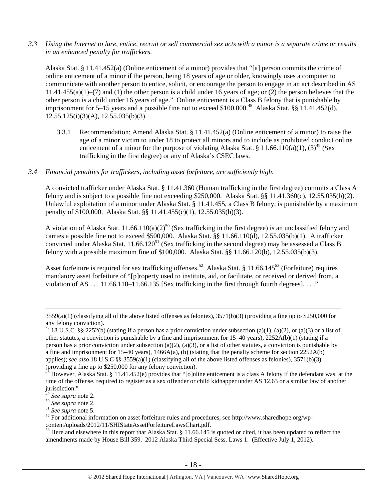*3.3 Using the Internet to lure, entice, recruit or sell commercial sex acts with a minor is a separate crime or results in an enhanced penalty for traffickers.* 

Alaska Stat. § 11.41.452(a) (Online enticement of a minor) provides that "[a] person commits the crime of online enticement of a minor if the person, being 18 years of age or older, knowingly uses a computer to communicate with another person to entice, solicit, or encourage the person to engage in an act described in AS  $11.41.455(a)(1)$ –(7) and (1) the other person is a child under 16 years of age; or (2) the person believes that the other person is a child under 16 years of age." Online enticement is a Class B felony that is punishable by imprisonment for 5–15 years and a possible fine not to exceed  $$100,000<sup>48</sup>$  Alaska Stat. §§ 11.41.452(d),  $12.55.125(i)(3)(A), 12.55.035(b)(3).$ 

3.3.1 Recommendation: Amend Alaska Stat. § 11.41.452(a) (Online enticement of a minor) to raise the age of a minor victim to under 18 to protect all minors and to include as prohibited conduct online enticement of a minor for the purpose of violating Alaska Stat. § 11.66.110(a)(1), (3)<sup>49</sup> (Sex trafficking in the first degree) or any of Alaska's CSEC laws.

# *3.4 Financial penalties for traffickers, including asset forfeiture, are sufficiently high*.

A convicted trafficker under Alaska Stat. § 11.41.360 (Human trafficking in the first degree) commits a Class A felony and is subject to a possible fine not exceeding \$250,000. Alaska Stat. §§ 11.41.360(c), 12.55.035(b)(2). Unlawful exploitation of a minor under Alaska Stat. § 11.41.455, a Class B felony, is punishable by a maximum penalty of \$100,000. Alaska Stat. §§ 11.41.455(c)(1), 12.55.035(b)(3).

A violation of Alaska Stat.  $11.66.110(a)(2)^{50}$  (Sex trafficking in the first degree) is an unclassified felony and carries a possible fine not to exceed \$500,000. Alaska Stat. §§ 11.66.110(d), 12.55.035(b)(1). A trafficker convicted under Alaska Stat.  $11.66.120^{51}$  (Sex trafficking in the second degree) may be assessed a Class B felony with a possible maximum fine of \$100,000. Alaska Stat. §§ 11.66.120(b), 12.55.035(b)(3).

Asset forfeiture is required for sex trafficking offenses.<sup>52</sup> Alaska Stat. § 11.66.145<sup>53</sup> (Forfeiture) requires mandatory asset forfeiture of "[p]roperty used to institute, aid, or facilitate, or received or derived from, a violation of AS  $\dots$  11.66.110–11.66.135 [Sex trafficking in the first through fourth degrees].  $\dots$ "

 $3559(a)(1)$  (classifying all of the above listed offenses as felonies),  $3571(b)(3)$  (providing a fine up to \$250,000 for any felony conviction).

<sup>&</sup>lt;sup>47</sup> 18 U.S.C. §§ 2252(b) (stating if a person has a prior conviction under subsection (a)(1), (a)(2), or (a)(3) or a list of other statutes, a conviction is punishable by a fine and imprisonment for  $15-40$  years),  $2252A(b)(1)$  (stating if a person has a prior conviction under subsection (a)(2), (a)(3), or a list of other statutes, a conviction is punishable by a fine and imprisonment for 15–40 years),  $1466A(a)$ , (b) (stating that the penalty scheme for section 2252A(b) applies); *see also* 18 U.S.C §§ 3559(a)(1) (classifying all of the above listed offenses as felonies), 3571(b)(3) (providing a fine up to \$250,000 for any felony conviction).

However, Alaska Stat. § 11.41.452(e) provides that "[o]nline enticement is a class A felony if the defendant was, at the time of the offense, required to register as a sex offender or child kidnapper under AS 12.63 or a similar law of another jurisdiction."<br><sup>49</sup> See supra note 2.

<sup>&</sup>lt;sup>50</sup> *See supra* note 2.<br>
<sup>51</sup> *See supra* note 5.<br>
<sup>52</sup> For additional information on asset forfeiture rules and procedures, see http://www.sharedhope.org/wp-<br>
content/uploads/2012/11/SHIStateAssetForfeitureLawsChart.pdf.

<sup>&</sup>lt;sup>53</sup> Here and elsewhere in this report that Alaska Stat. § 11.66.145 is quoted or cited, it has been updated to reflect the amendments made by House Bill 359. 2012 Alaska Third Special Sess. Laws 1. (Effective July 1, 2012).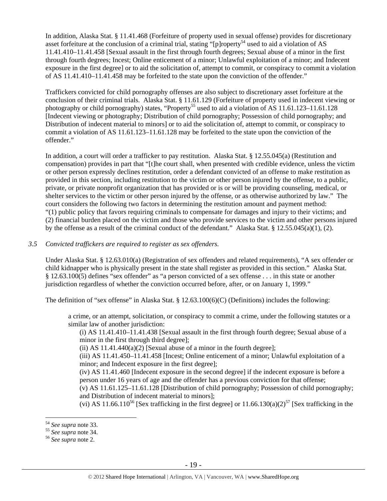In addition, Alaska Stat. § 11.41.468 (Forfeiture of property used in sexual offense) provides for discretionary asset forfeiture at the conclusion of a criminal trial, stating "[p]roperty<sup>54</sup> used to aid a violation of AS 11.41.410–11.41.458 [Sexual assault in the first through fourth degrees; Sexual abuse of a minor in the first through fourth degrees; Incest; Online enticement of a minor; Unlawful exploitation of a minor; and Indecent exposure in the first degree] or to aid the solicitation of, attempt to commit, or conspiracy to commit a violation of AS 11.41.410–11.41.458 may be forfeited to the state upon the conviction of the offender."

Traffickers convicted for child pornography offenses are also subject to discretionary asset forfeiture at the conclusion of their criminal trials. Alaska Stat. § 11.61.129 (Forfeiture of property used in indecent viewing or photography or child pornography) states, "Property<sup>55</sup> used to aid a violation of AS  $11.61.123-11.61.128$ [Indecent viewing or photography; Distribution of child pornography; Possession of child pornography; and Distribution of indecent material to minors] or to aid the solicitation of, attempt to commit, or conspiracy to commit a violation of AS 11.61.123–11.61.128 may be forfeited to the state upon the conviction of the offender."

In addition, a court will order a trafficker to pay restitution. Alaska Stat. § 12.55.045(a) (Restitution and compensation) provides in part that "[t]he court shall, when presented with credible evidence, unless the victim or other person expressly declines restitution, order a defendant convicted of an offense to make restitution as provided in this section, including restitution to the victim or other person injured by the offense, to a public, private, or private nonprofit organization that has provided or is or will be providing counseling, medical, or shelter services to the victim or other person injured by the offense, or as otherwise authorized by law." The court considers the following two factors in determining the restitution amount and payment method: "(1) public policy that favors requiring criminals to compensate for damages and injury to their victims; and (2) financial burden placed on the victim and those who provide services to the victim and other persons injured by the offense as a result of the criminal conduct of the defendant." Alaska Stat. § 12.55.045(a)(1), (2).

# *3.5 Convicted traffickers are required to register as sex offenders.*

Under Alaska Stat. § 12.63.010(a) (Registration of sex offenders and related requirements), "A sex offender or child kidnapper who is physically present in the state shall register as provided in this section." Alaska Stat. § 12.63.100(5) defines "sex offender" as "a person convicted of a sex offense . . . in this state or another jurisdiction regardless of whether the conviction occurred before, after, or on January 1, 1999."

The definition of "sex offense" in Alaska Stat. § 12.63.100(6)(C) (Definitions) includes the following:

a crime, or an attempt, solicitation, or conspiracy to commit a crime, under the following statutes or a similar law of another jurisdiction:

(i) AS 11.41.410–11.41.438 [Sexual assault in the first through fourth degree; Sexual abuse of a minor in the first through third degree];

(ii) AS  $11.41.440(a)(2)$  [Sexual abuse of a minor in the fourth degree];

(iii) AS 11.41.450–11.41.458 [Incest; Online enticement of a minor; Unlawful exploitation of a minor; and Indecent exposure in the first degree];

(iv) AS 11.41.460 [Indecent exposure in the second degree] if the indecent exposure is before a person under 16 years of age and the offender has a previous conviction for that offense;

(v) AS 11.61.125–11.61.128 [Distribution of child pornography; Possession of child pornography; and Distribution of indecent material to minors];

(vi) AS 11.66.110<sup>56</sup> [Sex trafficking in the first degree] or  $11.66.130(a)(2)^{57}$  [Sex trafficking in the

 $\overline{a}$ 

<sup>54</sup> *See supra* note 33. 55 *See supra* note 34. 56 *See supra* note 2.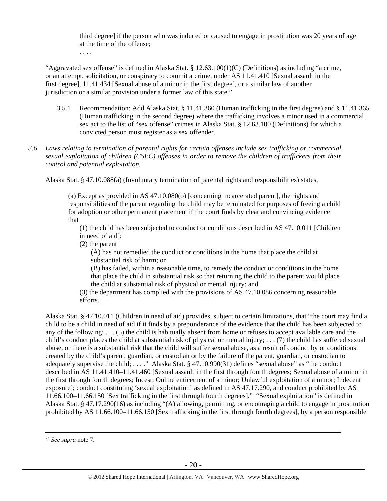third degree] if the person who was induced or caused to engage in prostitution was 20 years of age at the time of the offense;

. . . .

"Aggravated sex offense" is defined in Alaska Stat.  $\S 12.63.100(1)(C)$  (Definitions) as including "a crime, or an attempt, solicitation, or conspiracy to commit a crime, under AS 11.41.410 [Sexual assault in the first degree], 11.41.434 [Sexual abuse of a minor in the first degree], or a similar law of another jurisdiction or a similar provision under a former law of this state."

- 3.5.1 Recommendation: Add Alaska Stat. § 11.41.360 (Human trafficking in the first degree) and § 11.41.365 (Human trafficking in the second degree) where the trafficking involves a minor used in a commercial sex act to the list of "sex offense" crimes in Alaska Stat. § 12.63.100 (Definitions) for which a convicted person must register as a sex offender.
- *3.6 Laws relating to termination of parental rights for certain offenses include sex trafficking or commercial sexual exploitation of children (CSEC) offenses in order to remove the children of traffickers from their control and potential exploitation.*

Alaska Stat. § 47.10.088(a) (Involuntary termination of parental rights and responsibilities) states,

(a) Except as provided in AS 47.10.080(o) [concerning incarcerated parent], the rights and responsibilities of the parent regarding the child may be terminated for purposes of freeing a child for adoption or other permanent placement if the court finds by clear and convincing evidence that

(1) the child has been subjected to conduct or conditions described in AS 47.10.011 [Children in need of aid];

(2) the parent

(A) has not remedied the conduct or conditions in the home that place the child at substantial risk of harm; or

(B) has failed, within a reasonable time, to remedy the conduct or conditions in the home that place the child in substantial risk so that returning the child to the parent would place the child at substantial risk of physical or mental injury; and

(3) the department has complied with the provisions of AS 47.10.086 concerning reasonable efforts.

Alaska Stat. § 47.10.011 (Children in need of aid) provides, subject to certain limitations, that "the court may find a child to be a child in need of aid if it finds by a preponderance of the evidence that the child has been subjected to any of the following: . . . (5) the child is habitually absent from home or refuses to accept available care and the child's conduct places the child at substantial risk of physical or mental injury; . . . (7) the child has suffered sexual abuse, or there is a substantial risk that the child will suffer sexual abuse, as a result of conduct by or conditions created by the child's parent, guardian, or custodian or by the failure of the parent, guardian, or custodian to adequately supervise the child; ...." Alaska Stat. § 47.10.990(31) defines "sexual abuse" as "the conduct described in AS 11.41.410–11.41.460 [Sexual assault in the first through fourth degrees; Sexual abuse of a minor in the first through fourth degrees; Incest; Online enticement of a minor; Unlawful exploitation of a minor; Indecent exposure]; conduct constituting 'sexual exploitation' as defined in AS 47.17.290, and conduct prohibited by AS 11.66.100–11.66.150 [Sex trafficking in the first through fourth degrees]." "Sexual exploitation" is defined in Alaska Stat. § 47.17.290(16) as including "(A) allowing, permitting, or encouraging a child to engage in prostitution prohibited by AS 11.66.100–11.66.150 [Sex trafficking in the first through fourth degrees], by a person responsible

 <sup>57</sup> *See supra* note 7.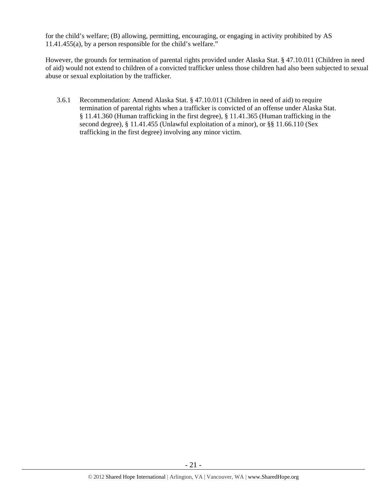for the child's welfare; (B) allowing, permitting, encouraging, or engaging in activity prohibited by AS 11.41.455(a), by a person responsible for the child's welfare."

However, the grounds for termination of parental rights provided under Alaska Stat. § 47.10.011 (Children in need of aid) would not extend to children of a convicted trafficker unless those children had also been subjected to sexual abuse or sexual exploitation by the trafficker.

3.6.1 Recommendation: Amend Alaska Stat. § 47.10.011 (Children in need of aid) to require termination of parental rights when a trafficker is convicted of an offense under Alaska Stat. § 11.41.360 (Human trafficking in the first degree), § 11.41.365 (Human trafficking in the second degree), § 11.41.455 (Unlawful exploitation of a minor), or §§ 11.66.110 (Sex trafficking in the first degree) involving any minor victim.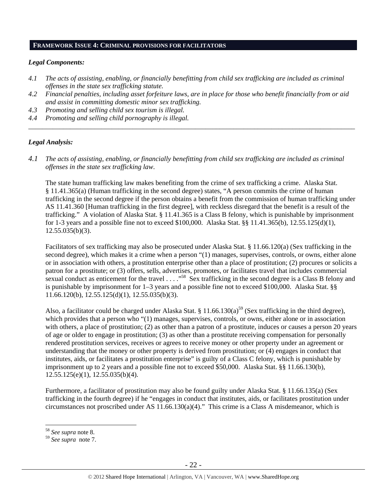## **FRAMEWORK ISSUE 4: CRIMINAL PROVISIONS FOR FACILITATORS**

## *Legal Components:*

- *4.1 The acts of assisting, enabling, or financially benefitting from child sex trafficking are included as criminal offenses in the state sex trafficking statute.*
- *4.2 Financial penalties, including asset forfeiture laws, are in place for those who benefit financially from or aid and assist in committing domestic minor sex trafficking.*

*\_\_\_\_\_\_\_\_\_\_\_\_\_\_\_\_\_\_\_\_\_\_\_\_\_\_\_\_\_\_\_\_\_\_\_\_\_\_\_\_\_\_\_\_\_\_\_\_\_\_\_\_\_\_\_\_\_\_\_\_\_\_\_\_\_\_\_\_\_\_\_\_\_\_\_\_\_\_\_\_\_\_\_\_\_\_\_\_\_\_\_\_\_\_* 

- *4.3 Promoting and selling child sex tourism is illegal.*
- *4.4 Promoting and selling child pornography is illegal.*

# *Legal Analysis:*

*4.1 The acts of assisting, enabling, or financially benefitting from child sex trafficking are included as criminal offenses in the state sex trafficking law*.

The state human trafficking law makes benefiting from the crime of sex trafficking a crime. Alaska Stat. § 11.41.365(a) (Human trafficking in the second degree) states, "A person commits the crime of human trafficking in the second degree if the person obtains a benefit from the commission of human trafficking under AS 11.41.360 [Human trafficking in the first degree], with reckless disregard that the benefit is a result of the trafficking." A violation of Alaska Stat. § 11.41.365 is a Class B felony, which is punishable by imprisonment for 1-3 years and a possible fine not to exceed \$100,000. Alaska Stat. §§ 11.41.365(b), 12.55.125(d)(1),  $12.55.035(b)(3)$ .

Facilitators of sex trafficking may also be prosecuted under Alaska Stat. § 11.66.120(a) (Sex trafficking in the second degree), which makes it a crime when a person "(1) manages, supervises, controls, or owns, either alone or in association with others, a prostitution enterprise other than a place of prostitution; (2) procures or solicits a patron for a prostitute; or (3) offers, sells, advertises, promotes, or facilitates travel that includes commercial sexual conduct as enticement for the travel  $\ldots$ ."<sup>58</sup> Sex trafficking in the second degree is a Class B felony and is punishable by imprisonment for 1–3 years and a possible fine not to exceed \$100,000. Alaska Stat. §§ 11.66.120(b), 12.55.125(d)(1), 12.55.035(b)(3).

Also, a facilitator could be charged under Alaska Stat. §  $11.66.130(a)^{59}$  (Sex trafficking in the third degree), which provides that a person who "(1) manages, supervises, controls, or owns, either alone or in association with others, a place of prostitution; (2) as other than a patron of a prostitute, induces or causes a person 20 years of age or older to engage in prostitution; (3) as other than a prostitute receiving compensation for personally rendered prostitution services, receives or agrees to receive money or other property under an agreement or understanding that the money or other property is derived from prostitution; or (4) engages in conduct that institutes, aids, or facilitates a prostitution enterprise" is guilty of a Class C felony, which is punishable by imprisonment up to 2 years and a possible fine not to exceed \$50,000. Alaska Stat. §§ 11.66.130(b),  $12.55.125(e)(1)$ ,  $12.55.035(b)(4)$ .

Furthermore, a facilitator of prostitution may also be found guilty under Alaska Stat. § 11.66.135(a) (Sex trafficking in the fourth degree) if he "engages in conduct that institutes, aids, or facilitates prostitution under circumstances not proscribed under AS 11.66.130(a)(4)." This crime is a Class A misdemeanor, which is

 $\overline{a}$ 

<sup>58</sup> *See supra* note 8.

<sup>59</sup> *See supra* note 7.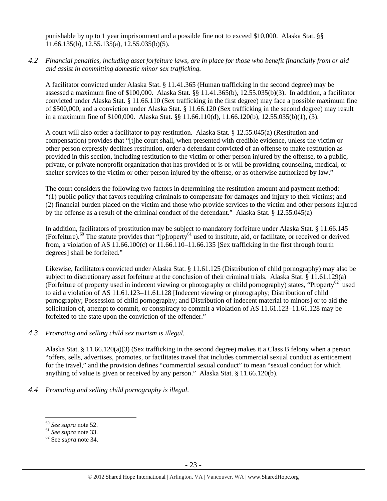punishable by up to 1 year imprisonment and a possible fine not to exceed \$10,000. Alaska Stat. §§ 11.66.135(b), 12.55.135(a), 12.55.035(b)(5).

*4.2 Financial penalties, including asset forfeiture laws, are in place for those who benefit financially from or aid and assist in committing domestic minor sex trafficking.* 

A facilitator convicted under Alaska Stat. § 11.41.365 (Human trafficking in the second degree) may be assessed a maximum fine of \$100,000. Alaska Stat. §§ 11.41.365(b), 12.55.035(b)(3). In addition, a facilitator convicted under Alaska Stat. § 11.66.110 (Sex trafficking in the first degree) may face a possible maximum fine of \$500,000, and a conviction under Alaska Stat. § 11.66.120 (Sex trafficking in the second degree) may result in a maximum fine of \$100,000. Alaska Stat. §§ 11.66.110(d), 11.66.120(b), 12.55.035(b)(1), (3).

A court will also order a facilitator to pay restitution. Alaska Stat. § 12.55.045(a) (Restitution and compensation) provides that "[t]he court shall, when presented with credible evidence, unless the victim or other person expressly declines restitution, order a defendant convicted of an offense to make restitution as provided in this section, including restitution to the victim or other person injured by the offense, to a public, private, or private nonprofit organization that has provided or is or will be providing counseling, medical, or shelter services to the victim or other person injured by the offense, or as otherwise authorized by law."

The court considers the following two factors in determining the restitution amount and payment method: "(1) public policy that favors requiring criminals to compensate for damages and injury to their victims; and (2) financial burden placed on the victim and those who provide services to the victim and other persons injured by the offense as a result of the criminal conduct of the defendant." Alaska Stat. § 12.55.045(a)

In addition, facilitators of prostitution may be subject to mandatory forfeiture under Alaska Stat. § 11.66.145 (Forfeiture).60 The statute provides that "[p]roperty61 used to institute, aid, or facilitate, or received or derived from, a violation of AS  $11.66.100(c)$  or  $11.66.110-11.66.135$  [Sex trafficking in the first through fourth degrees] shall be forfeited."

Likewise, facilitators convicted under Alaska Stat. § 11.61.125 (Distribution of child pornography) may also be subject to discretionary asset forfeiture at the conclusion of their criminal trials. Alaska Stat. § 11.61.129(a) (Forfeiture of property used in indecent viewing or photography or child pornography) states, "Property<sup>62</sup> used to aid a violation of AS 11.61.123–11.61.128 [Indecent viewing or photography; Distribution of child pornography; Possession of child pornography; and Distribution of indecent material to minors] or to aid the solicitation of, attempt to commit, or conspiracy to commit a violation of AS 11.61.123–11.61.128 may be forfeited to the state upon the conviction of the offender."

# *4.3 Promoting and selling child sex tourism is illegal*.

Alaska Stat. § 11.66.120(a)(3) (Sex trafficking in the second degree) makes it a Class B felony when a person "offers, sells, advertises, promotes, or facilitates travel that includes commercial sexual conduct as enticement for the travel," and the provision defines "commercial sexual conduct" to mean "sexual conduct for which anything of value is given or received by any person." Alaska Stat. § 11.66.120(b).

*4.4 Promoting and selling child pornography is illegal*.

 $60$  See supra note 52.

<sup>60</sup> *See supra* note 52. 61 *See supra* note 33. 62 See *supra* note 34.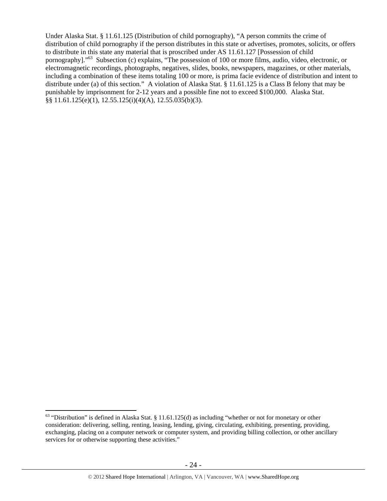Under Alaska Stat. § 11.61.125 (Distribution of child pornography), "A person commits the crime of distribution of child pornography if the person distributes in this state or advertises, promotes, solicits, or offers to distribute in this state any material that is proscribed under AS 11.61.127 [Possession of child pornography]."63 Subsection (c) explains, "The possession of 100 or more films, audio, video, electronic, or electromagnetic recordings, photographs, negatives, slides, books, newspapers, magazines, or other materials, including a combination of these items totaling 100 or more, is prima facie evidence of distribution and intent to distribute under (a) of this section." A violation of Alaska Stat. § 11.61.125 is a Class B felony that may be punishable by imprisonment for 2-12 years and a possible fine not to exceed \$100,000. Alaska Stat. §§ 11.61.125(e)(1), 12.55.125(i)(4)(A), 12.55.035(b)(3).

 $\overline{a}$  $63$  "Distribution" is defined in Alaska Stat. § 11.61.125(d) as including "whether or not for monetary or other consideration: delivering, selling, renting, leasing, lending, giving, circulating, exhibiting, presenting, providing, exchanging, placing on a computer network or computer system, and providing billing collection, or other ancillary services for or otherwise supporting these activities."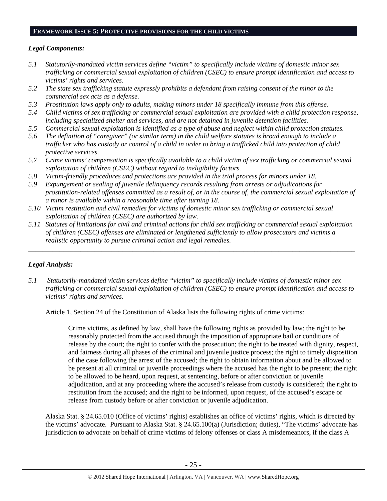# **FRAMEWORK ISSUE 5: PROTECTIVE PROVISIONS FOR THE CHILD VICTIMS**

# *Legal Components:*

- *5.1 Statutorily-mandated victim services define "victim" to specifically include victims of domestic minor sex trafficking or commercial sexual exploitation of children (CSEC) to ensure prompt identification and access to victims' rights and services.*
- *5.2 The state sex trafficking statute expressly prohibits a defendant from raising consent of the minor to the commercial sex acts as a defense.*
- *5.3 Prostitution laws apply only to adults, making minors under 18 specifically immune from this offense.*
- *5.4 Child victims of sex trafficking or commercial sexual exploitation are provided with a child protection response, including specialized shelter and services, and are not detained in juvenile detention facilities.*
- *5.5 Commercial sexual exploitation is identified as a type of abuse and neglect within child protection statutes.*
- *5.6 The definition of "caregiver" (or similar term) in the child welfare statutes is broad enough to include a trafficker who has custody or control of a child in order to bring a trafficked child into protection of child protective services.*
- *5.7 Crime victims' compensation is specifically available to a child victim of sex trafficking or commercial sexual exploitation of children (CSEC) without regard to ineligibility factors.*
- *5.8 Victim-friendly procedures and protections are provided in the trial process for minors under 18.*
- *5.9 Expungement or sealing of juvenile delinquency records resulting from arrests or adjudications for prostitution-related offenses committed as a result of, or in the course of, the commercial sexual exploitation of a minor is available within a reasonable time after turning 18.*
- *5.10 Victim restitution and civil remedies for victims of domestic minor sex trafficking or commercial sexual exploitation of children (CSEC) are authorized by law.*
- *5.11 Statutes of limitations for civil and criminal actions for child sex trafficking or commercial sexual exploitation of children (CSEC) offenses are eliminated or lengthened sufficiently to allow prosecutors and victims a realistic opportunity to pursue criminal action and legal remedies.*

*\_\_\_\_\_\_\_\_\_\_\_\_\_\_\_\_\_\_\_\_\_\_\_\_\_\_\_\_\_\_\_\_\_\_\_\_\_\_\_\_\_\_\_\_\_\_\_\_\_\_\_\_\_\_\_\_\_\_\_\_\_\_\_\_\_\_\_\_\_\_\_\_\_\_\_\_\_\_\_\_\_\_\_\_\_\_\_\_\_\_\_\_\_\_* 

# *Legal Analysis:*

*5.1 Statutorily-mandated victim services define "victim" to specifically include victims of domestic minor sex trafficking or commercial sexual exploitation of children (CSEC) to ensure prompt identification and access to victims' rights and services.* 

Article 1, Section 24 of the Constitution of Alaska lists the following rights of crime victims:

Crime victims, as defined by law, shall have the following rights as provided by law: the right to be reasonably protected from the accused through the imposition of appropriate bail or conditions of release by the court; the right to confer with the prosecution; the right to be treated with dignity, respect, and fairness during all phases of the criminal and juvenile justice process; the right to timely disposition of the case following the arrest of the accused; the right to obtain information about and be allowed to be present at all criminal or juvenile proceedings where the accused has the right to be present; the right to be allowed to be heard, upon request, at sentencing, before or after conviction or juvenile adjudication, and at any proceeding where the accused's release from custody is considered; the right to restitution from the accused; and the right to be informed, upon request, of the accused's escape or release from custody before or after conviction or juvenile adjudication.

Alaska Stat. § 24.65.010 (Office of victims' rights) establishes an office of victims' rights, which is directed by the victims' advocate. Pursuant to Alaska Stat. § 24.65.100(a) (Jurisdiction; duties), "The victims' advocate has jurisdiction to advocate on behalf of crime victims of felony offenses or class A misdemeanors, if the class A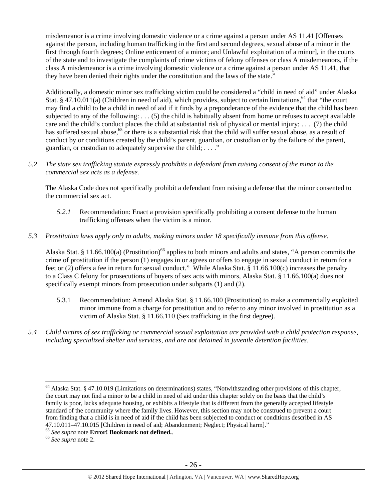misdemeanor is a crime involving domestic violence or a crime against a person under AS 11.41 [Offenses against the person, including human trafficking in the first and second degrees, sexual abuse of a minor in the first through fourth degrees; Online enticement of a minor; and Unlawful exploitation of a minor], in the courts of the state and to investigate the complaints of crime victims of felony offenses or class A misdemeanors, if the class A misdemeanor is a crime involving domestic violence or a crime against a person under AS 11.41, that they have been denied their rights under the constitution and the laws of the state."

Additionally, a domestic minor sex trafficking victim could be considered a "child in need of aid" under Alaska Stat. § 47.10.011(a) (Children in need of aid), which provides, subject to certain limitations,<sup>64</sup> that "the court may find a child to be a child in need of aid if it finds by a preponderance of the evidence that the child has been subjected to any of the following: . . . (5) the child is habitually absent from home or refuses to accept available care and the child's conduct places the child at substantial risk of physical or mental injury; ... (7) the child has suffered sexual abuse,<sup>65</sup> or there is a substantial risk that the child will suffer sexual abuse, as a result of conduct by or conditions created by the child's parent, guardian, or custodian or by the failure of the parent, guardian, or custodian to adequately supervise the child; . . . ."

*5.2 The state sex trafficking statute expressly prohibits a defendant from raising consent of the minor to the commercial sex acts as a defense.* 

The Alaska Code does not specifically prohibit a defendant from raising a defense that the minor consented to the commercial sex act.

*5.2.1* Recommendation: Enact a provision specifically prohibiting a consent defense to the human trafficking offenses when the victim is a minor.

# *5.3 Prostitution laws apply only to adults, making minors under 18 specifically immune from this offense.*

Alaska Stat. § 11.66.100(a) (Prostitution)<sup>66</sup> applies to both minors and adults and states, "A person commits the crime of prostitution if the person (1) engages in or agrees or offers to engage in sexual conduct in return for a fee; or (2) offers a fee in return for sexual conduct." While Alaska Stat. § 11.66.100(c) increases the penalty to a Class C felony for prosecutions of buyers of sex acts with minors, Alaska Stat. § 11.66.100(a) does not specifically exempt minors from prosecution under subparts (1) and (2).

- 5.3.1 Recommendation: Amend Alaska Stat. § 11.66.100 (Prostitution) to make a commercially exploited minor immune from a charge for prostitution and to refer to any minor involved in prostitution as a victim of Alaska Stat. § 11.66.110 (Sex trafficking in the first degree).
- *5.4 Child victims of sex trafficking or commercial sexual exploitation are provided with a child protection response, including specialized shelter and services, and are not detained in juvenile detention facilities.*

 $\overline{a}$  $64$  Alaska Stat. § 47.10.019 (Limitations on determinations) states, "Notwithstanding other provisions of this chapter, the court may not find a minor to be a child in need of aid under this chapter solely on the basis that the child's family is poor, lacks adequate housing, or exhibits a lifestyle that is different from the generally accepted lifestyle standard of the community where the family lives. However, this section may not be construed to prevent a court from finding that a child is in need of aid if the child has been subjected to conduct or conditions described in AS 47.10.011–47.10.015 [Children in need of aid; Abandonment; Neglect; Physical harm]."

<sup>65</sup> *See supra* note **Error! Bookmark not defined.**. 66 *See supra* note 2.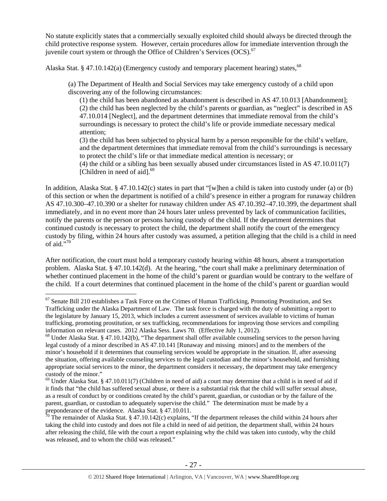No statute explicitly states that a commercially sexually exploited child should always be directed through the child protective response system. However, certain procedures allow for immediate intervention through the juvenile court system or through the Office of Children's Services  $(OCS)$ .<sup>67</sup>

Alaska Stat. § 47.10.142(a) (Emergency custody and temporary placement hearing) states,<sup>68</sup>

(a) The Department of Health and Social Services may take emergency custody of a child upon discovering any of the following circumstances:

(1) the child has been abandoned as abandonment is described in AS 47.10.013 [Abandonment]; (2) the child has been neglected by the child's parents or guardian, as "neglect" is described in AS 47.10.014 [Neglect], and the department determines that immediate removal from the child's surroundings is necessary to protect the child's life or provide immediate necessary medical attention;

(3) the child has been subjected to physical harm by a person responsible for the child's welfare, and the department determines that immediate removal from the child's surroundings is necessary to protect the child's life or that immediate medical attention is necessary; or

(4) the child or a sibling has been sexually abused under circumstances listed in AS 47.10.011(7) [Children in need of aid].<sup>69</sup>

In addition, Alaska Stat. § 47.10.142(c) states in part that "[w]hen a child is taken into custody under (a) or (b) of this section or when the department is notified of a child's presence in either a program for runaway children AS 47.10.300–47.10.390 or a shelter for runaway children under AS 47.10.392–47.10.399, the department shall immediately, and in no event more than 24 hours later unless prevented by lack of communication facilities, notify the parents or the person or persons having custody of the child. If the department determines that continued custody is necessary to protect the child, the department shall notify the court of the emergency custody by filing, within 24 hours after custody was assumed, a petition alleging that the child is a child in need of aid."70

After notification, the court must hold a temporary custody hearing within 48 hours, absent a transportation problem. Alaska Stat. § 47.10.142(d). At the hearing, "the court shall make a preliminary determination of whether continued placement in the home of the child's parent or guardian would be contrary to the welfare of the child. If a court determines that continued placement in the home of the child's parent or guardian would

 $\overline{a}$ 

 $67$  Senate Bill 210 establishes a Task Force on the Crimes of Human Trafficking, Promoting Prostitution, and Sex Trafficking under the Alaska Department of Law. The task force is charged with the duty of submitting a report to the legislature by January 15, 2013, which includes a current assessment of services available to victims of human trafficking, promoting prostitution, or sex trafficking, recommendations for improving those services and compiling information on relevant cases. 2012 Alaska Sess. Laws 70. (Effective July 1, 2012).

<sup>68</sup> Under Alaska Stat. § 47.10.142(b), "The department shall offer available counseling services to the person having legal custody of a minor described in AS 47.10.141 [Runaway and missing minors] and to the members of the minor's household if it determines that counseling services would be appropriate in the situation. If, after assessing the situation, offering available counseling services to the legal custodian and the minor's household, and furnishing appropriate social services to the minor, the department considers it necessary, the department may take emergency custody of the minor."

 $69$  Under Alaska Stat. § 47.10.011(7) (Children in need of aid) a court may determine that a child is in need of aid if it finds that "the child has suffered sexual abuse, or there is a substantial risk that the child will suffer sexual abuse, as a result of conduct by or conditions created by the child's parent, guardian, or custodian or by the failure of the parent, guardian, or custodian to adequately supervise the child." The determination must be made by a preponderance of the evidence. Alaska Stat. § 47.10.011.

 $\bar{70}$  The remainder of Alaska Stat. § 47.10.142(c) explains, "If the department releases the child within 24 hours after taking the child into custody and does not file a child in need of aid petition, the department shall, within 24 hours after releasing the child, file with the court a report explaining why the child was taken into custody, why the child was released, and to whom the child was released."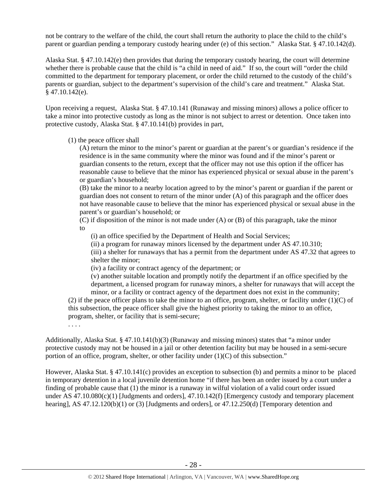not be contrary to the welfare of the child, the court shall return the authority to place the child to the child's parent or guardian pending a temporary custody hearing under (e) of this section." Alaska Stat. § 47.10.142(d).

Alaska Stat. § 47.10.142(e) then provides that during the temporary custody hearing, the court will determine whether there is probable cause that the child is "a child in need of aid." If so, the court will "order the child committed to the department for temporary placement, or order the child returned to the custody of the child's parents or guardian, subject to the department's supervision of the child's care and treatment." Alaska Stat. § 47.10.142(e).

Upon receiving a request, Alaska Stat. § 47.10.141 (Runaway and missing minors) allows a police officer to take a minor into protective custody as long as the minor is not subject to arrest or detention. Once taken into protective custody, Alaska Stat. § 47.10.141(b) provides in part,

#### (1) the peace officer shall

(A) return the minor to the minor's parent or guardian at the parent's or guardian's residence if the residence is in the same community where the minor was found and if the minor's parent or guardian consents to the return, except that the officer may not use this option if the officer has reasonable cause to believe that the minor has experienced physical or sexual abuse in the parent's or guardian's household;

(B) take the minor to a nearby location agreed to by the minor's parent or guardian if the parent or guardian does not consent to return of the minor under (A) of this paragraph and the officer does not have reasonable cause to believe that the minor has experienced physical or sexual abuse in the parent's or guardian's household; or

 $(C)$  if disposition of the minor is not made under  $(A)$  or  $(B)$  of this paragraph, take the minor to

(i) an office specified by the Department of Health and Social Services;

(ii) a program for runaway minors licensed by the department under AS 47.10.310;

(iii) a shelter for runaways that has a permit from the department under AS 47.32 that agrees to shelter the minor;

(iv) a facility or contract agency of the department; or

(v) another suitable location and promptly notify the department if an office specified by the department, a licensed program for runaway minors, a shelter for runaways that will accept the minor, or a facility or contract agency of the department does not exist in the community;

(2) if the peace officer plans to take the minor to an office, program, shelter, or facility under  $(1)(C)$  of this subsection, the peace officer shall give the highest priority to taking the minor to an office, program, shelter, or facility that is semi-secure;

. . . .

Additionally, Alaska Stat. § 47.10.141(b)(3) (Runaway and missing minors) states that "a minor under protective custody may not be housed in a jail or other detention facility but may be housed in a semi-secure portion of an office, program, shelter, or other facility under (1)(C) of this subsection."

However, Alaska Stat. § 47.10.141(c) provides an exception to subsection (b) and permits a minor to be placed in temporary detention in a local juvenile detention home "if there has been an order issued by a court under a finding of probable cause that (1) the minor is a runaway in wilful violation of a valid court order issued under AS 47.10.080(c)(1) [Judgments and orders], 47.10.142(f) [Emergency custody and temporary placement hearing], AS 47.12.120(b)(1) or (3) [Judgments and orders], or 47.12.250(d) [Temporary detention and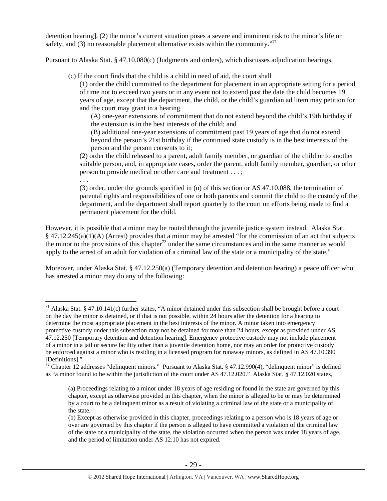detention hearing], (2) the minor's current situation poses a severe and imminent risk to the minor's life or safety, and (3) no reasonable placement alternative exists within the community. $171$ 

Pursuant to Alaska Stat. § 47.10.080(c) (Judgments and orders), which discusses adjudication hearings,

(c) If the court finds that the child is a child in need of aid, the court shall

(1) order the child committed to the department for placement in an appropriate setting for a period of time not to exceed two years or in any event not to extend past the date the child becomes 19 years of age, except that the department, the child, or the child's guardian ad litem may petition for and the court may grant in a hearing

(A) one-year extensions of commitment that do not extend beyond the child's 19th birthday if the extension is in the best interests of the child; and

(B) additional one-year extensions of commitment past 19 years of age that do not extend beyond the person's 21st birthday if the continued state custody is in the best interests of the person and the person consents to it;

(2) order the child released to a parent, adult family member, or guardian of the child or to another suitable person, and, in appropriate cases, order the parent, adult family member, guardian, or other person to provide medical or other care and treatment . . . ;

. . .

 $\overline{a}$ 

(3) order, under the grounds specified in (o) of this section or AS 47.10.088, the termination of parental rights and responsibilities of one or both parents and commit the child to the custody of the department, and the department shall report quarterly to the court on efforts being made to find a permanent placement for the child.

However, it is possible that a minor may be routed through the juvenile justice system instead. Alaska Stat. § 47.12.245(a)(1)(A) (Arrest) provides that a minor may be arrested "for the commission of an act that subjects the minor to the provisions of this chapter<sup>72</sup> under the same circumstances and in the same manner as would apply to the arrest of an adult for violation of a criminal law of the state or a municipality of the state."

Moreover, under Alaska Stat. § 47.12.250(a) (Temporary detention and detention hearing) a peace officer who has arrested a minor may do any of the following:

 $71$  Alaska Stat. § 47.10.141(c) further states, "A minor detained under this subsection shall be brought before a court on the day the minor is detained, or if that is not possible, within 24 hours after the detention for a hearing to determine the most appropriate placement in the best interests of the minor. A minor taken into emergency protective custody under this subsection may not be detained for more than 24 hours, except as provided under AS 47.12.250 [Temporary detention and detention hearing]. Emergency protective custody may not include placement of a minor in a jail or secure facility other than a juvenile detention home, nor may an order for protective custody be enforced against a minor who is residing in a licensed program for runaway minors, as defined in AS 47.10.390 [Definitions]."

<sup>&</sup>lt;sup>72</sup> Chapter 12 addresses "delinquent minors." Pursuant to Alaska Stat. § 47.12.990(4), "delinquent minor" is defined as "a minor found to be within the jurisdiction of the court under AS 47.12.020." Alaska Stat. § 47.12.020 states,

<sup>(</sup>a) Proceedings relating to a minor under 18 years of age residing or found in the state are governed by this chapter, except as otherwise provided in this chapter, when the minor is alleged to be or may be determined by a court to be a delinquent minor as a result of violating a criminal law of the state or a municipality of the state.

<sup>(</sup>b) Except as otherwise provided in this chapter, proceedings relating to a person who is 18 years of age or over are governed by this chapter if the person is alleged to have committed a violation of the criminal law of the state or a municipality of the state, the violation occurred when the person was under 18 years of age, and the period of limitation under AS 12.10 has not expired.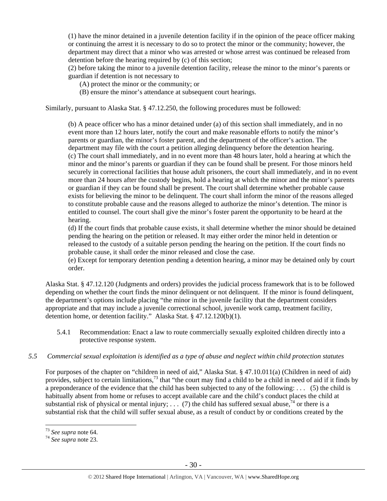(1) have the minor detained in a juvenile detention facility if in the opinion of the peace officer making or continuing the arrest it is necessary to do so to protect the minor or the community; however, the department may direct that a minor who was arrested or whose arrest was continued be released from detention before the hearing required by (c) of this section;

(2) before taking the minor to a juvenile detention facility, release the minor to the minor's parents or guardian if detention is not necessary to

(A) protect the minor or the community; or

(B) ensure the minor's attendance at subsequent court hearings.

Similarly, pursuant to Alaska Stat. § 47.12.250, the following procedures must be followed:

(b) A peace officer who has a minor detained under (a) of this section shall immediately, and in no event more than 12 hours later, notify the court and make reasonable efforts to notify the minor's parents or guardian, the minor's foster parent, and the department of the officer's action. The department may file with the court a petition alleging delinquency before the detention hearing. (c) The court shall immediately, and in no event more than 48 hours later, hold a hearing at which the minor and the minor's parents or guardian if they can be found shall be present. For those minors held securely in correctional facilities that house adult prisoners, the court shall immediately, and in no event more than 24 hours after the custody begins, hold a hearing at which the minor and the minor's parents or guardian if they can be found shall be present. The court shall determine whether probable cause exists for believing the minor to be delinquent. The court shall inform the minor of the reasons alleged to constitute probable cause and the reasons alleged to authorize the minor's detention. The minor is entitled to counsel. The court shall give the minor's foster parent the opportunity to be heard at the hearing.

(d) If the court finds that probable cause exists, it shall determine whether the minor should be detained pending the hearing on the petition or released. It may either order the minor held in detention or released to the custody of a suitable person pending the hearing on the petition. If the court finds no probable cause, it shall order the minor released and close the case.

(e) Except for temporary detention pending a detention hearing, a minor may be detained only by court order.

Alaska Stat. § 47.12.120 (Judgments and orders) provides the judicial process framework that is to be followed depending on whether the court finds the minor delinquent or not delinquent. If the minor is found delinquent, the department's options include placing "the minor in the juvenile facility that the department considers appropriate and that may include a juvenile correctional school, juvenile work camp, treatment facility, detention home, or detention facility." Alaska Stat. § 47.12.120(b)(1).

5.4.1 Recommendation: Enact a law to route commercially sexually exploited children directly into a protective response system.

# *5.5 Commercial sexual exploitation is identified as a type of abuse and neglect within child protection statutes*

For purposes of the chapter on "children in need of aid," Alaska Stat. § 47.10.011(a) (Children in need of aid) provides, subject to certain limitations,<sup>73</sup> that "the court may find a child to be a child in need of aid if it finds by a preponderance of the evidence that the child has been subjected to any of the following: . . . (5) the child is habitually absent from home or refuses to accept available care and the child's conduct places the child at substantial risk of physical or mental injury; . . . (7) the child has suffered sexual abuse,  $\frac{74}{1}$  or there is a substantial risk that the child will suffer sexual abuse, as a result of conduct by or conditions created by the

<sup>&</sup>lt;sup>73</sup> See supra note 64.

<sup>73</sup> *See supra* note 64. 74 *See supra* note 23.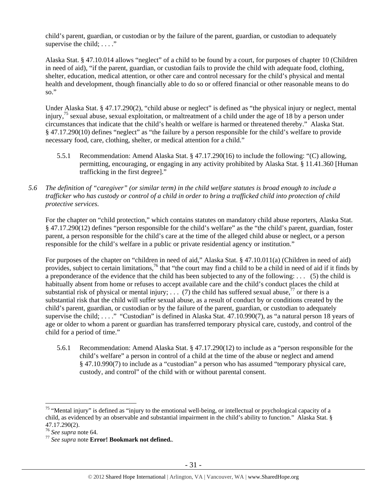child's parent, guardian, or custodian or by the failure of the parent, guardian, or custodian to adequately supervise the child;  $\dots$ ."

Alaska Stat. § 47.10.014 allows "neglect" of a child to be found by a court, for purposes of chapter 10 (Children in need of aid), "if the parent, guardian, or custodian fails to provide the child with adequate food, clothing, shelter, education, medical attention, or other care and control necessary for the child's physical and mental health and development, though financially able to do so or offered financial or other reasonable means to do so."

Under Alaska Stat. § 47.17.290(2), "child abuse or neglect" is defined as "the physical injury or neglect, mental injury,<sup>75</sup> sexual abuse, sexual exploitation, or maltreatment of a child under the age of 18 by a person under circumstances that indicate that the child's health or welfare is harmed or threatened thereby." Alaska Stat. § 47.17.290(10) defines "neglect" as "the failure by a person responsible for the child's welfare to provide necessary food, care, clothing, shelter, or medical attention for a child."

- 5.5.1 Recommendation: Amend Alaska Stat. § 47.17.290(16) to include the following: "(C) allowing, permitting, encouraging, or engaging in any activity prohibited by Alaska Stat. § 11.41.360 [Human trafficking in the first degree]."
- *5.6 The definition of "caregiver" (or similar term) in the child welfare statutes is broad enough to include a trafficker who has custody or control of a child in order to bring a trafficked child into protection of child protective services.*

For the chapter on "child protection," which contains statutes on mandatory child abuse reporters, Alaska Stat. § 47.17.290(12) defines "person responsible for the child's welfare" as the "the child's parent, guardian, foster parent, a person responsible for the child's care at the time of the alleged child abuse or neglect, or a person responsible for the child's welfare in a public or private residential agency or institution."

For purposes of the chapter on "children in need of aid," Alaska Stat. § 47.10.011(a) (Children in need of aid) provides, subject to certain limitations,<sup>76</sup> that "the court may find a child to be a child in need of aid if it finds by a preponderance of the evidence that the child has been subjected to any of the following: . . . (5) the child is habitually absent from home or refuses to accept available care and the child's conduct places the child at substantial risk of physical or mental injury; ... (7) the child has suffered sexual abuse,<sup>77</sup> or there is a substantial risk that the child will suffer sexual abuse, as a result of conduct by or conditions created by the child's parent, guardian, or custodian or by the failure of the parent, guardian, or custodian to adequately supervise the child; . . . ." "Custodian" is defined in Alaska Stat. 47.10.990(7), as "a natural person 18 years of age or older to whom a parent or guardian has transferred temporary physical care, custody, and control of the child for a period of time."

5.6.1 Recommendation: Amend Alaska Stat. § 47.17.290(12) to include as a "person responsible for the child's welfare" a person in control of a child at the time of the abuse or neglect and amend § 47.10.990(7) to include as a "custodian" a person who has assumed "temporary physical care, custody, and control" of the child with or without parental consent.

 $\overline{a}$ 

<sup>&</sup>lt;sup>75</sup> "Mental injury" is defined as "injury to the emotional well-being, or intellectual or psychological capacity of a child, as evidenced by an observable and substantial impairment in the child's ability to function." Alaska Stat. § 47.17.290(2).<br><sup>76</sup> See supra note 64.

<sup>&</sup>lt;sup>77</sup> See supra note **Error! Bookmark not defined.**.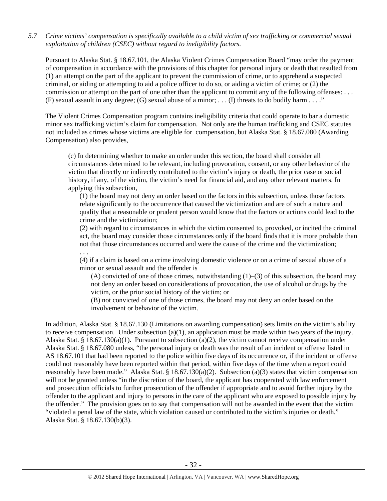# *5.7 Crime victims' compensation is specifically available to a child victim of sex trafficking or commercial sexual exploitation of children (CSEC) without regard to ineligibility factors.*

Pursuant to Alaska Stat. § 18.67.101, the Alaska Violent Crimes Compensation Board "may order the payment of compensation in accordance with the provisions of this chapter for personal injury or death that resulted from (1) an attempt on the part of the applicant to prevent the commission of crime, or to apprehend a suspected criminal, or aiding or attempting to aid a police officer to do so, or aiding a victim of crime; or (2) the commission or attempt on the part of one other than the applicant to commit any of the following offenses: . . . (F) sexual assault in any degree; (G) sexual abuse of a minor; . . . (I) threats to do bodily harm . . . ."

The Violent Crimes Compensation program contains ineligibility criteria that could operate to bar a domestic minor sex trafficking victim's claim for compensation. Not only are the human trafficking and CSEC statutes not included as crimes whose victims are eligible for compensation, but Alaska Stat. § 18.67.080 (Awarding Compensation) also provides,

(c) In determining whether to make an order under this section, the board shall consider all circumstances determined to be relevant, including provocation, consent, or any other behavior of the victim that directly or indirectly contributed to the victim's injury or death, the prior case or social history, if any, of the victim, the victim's need for financial aid, and any other relevant matters. In applying this subsection,

(1) the board may not deny an order based on the factors in this subsection, unless those factors relate significantly to the occurrence that caused the victimization and are of such a nature and quality that a reasonable or prudent person would know that the factors or actions could lead to the crime and the victimization;

(2) with regard to circumstances in which the victim consented to, provoked, or incited the criminal act, the board may consider those circumstances only if the board finds that it is more probable than not that those circumstances occurred and were the cause of the crime and the victimization;

. . .

(4) if a claim is based on a crime involving domestic violence or on a crime of sexual abuse of a minor or sexual assault and the offender is

(A) convicted of one of those crimes, notwithstanding  $(1)$ – $(3)$  of this subsection, the board may not deny an order based on considerations of provocation, the use of alcohol or drugs by the victim, or the prior social history of the victim; or

(B) not convicted of one of those crimes, the board may not deny an order based on the involvement or behavior of the victim.

In addition, Alaska Stat. § 18.67.130 (Limitations on awarding compensation) sets limits on the victim's ability to receive compensation. Under subsection  $(a)(1)$ , an application must be made within two years of the injury. Alaska Stat. § 18.67.130(a)(1). Pursuant to subsection (a)(2), the victim cannot receive compensation under Alaska Stat. § 18.67.080 unless, "the personal injury or death was the result of an incident or offense listed in AS 18.67.101 that had been reported to the police within five days of its occurrence or, if the incident or offense could not reasonably have been reported within that period, within five days of the time when a report could reasonably have been made." Alaska Stat. § 18.67.130(a)(2). Subsection (a)(3) states that victim compensation will not be granted unless "in the discretion of the board, the applicant has cooperated with law enforcement and prosecution officials to further prosecution of the offender if appropriate and to avoid further injury by the offender to the applicant and injury to persons in the care of the applicant who are exposed to possible injury by the offender." The provision goes on to say that compensation will not be awarded in the event that the victim "violated a penal law of the state, which violation caused or contributed to the victim's injuries or death." Alaska Stat. § 18.67.130(b)(3).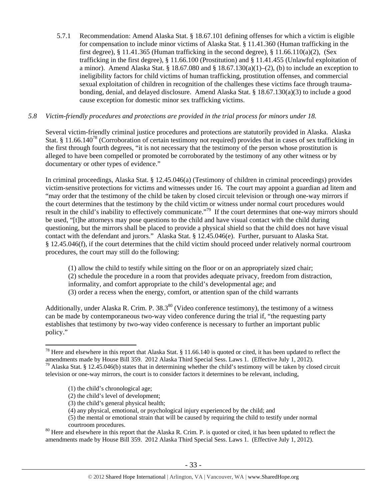5.7.1 Recommendation: Amend Alaska Stat. § 18.67.101 defining offenses for which a victim is eligible for compensation to include minor victims of Alaska Stat. § 11.41.360 (Human trafficking in the first degree), § 11.41.365 (Human trafficking in the second degree), § 11.66.110(a)(2), (Sex trafficking in the first degree), § 11.66.100 (Prostitution) and § 11.41.455 (Unlawful exploitation of a minor). Amend Alaska Stat. § 18.67.080 and § 18.67.130(a)(1)–(2), (b) to include an exception to ineligibility factors for child victims of human trafficking, prostitution offenses, and commercial sexual exploitation of children in recognition of the challenges these victims face through traumabonding, denial, and delayed disclosure. Amend Alaska Stat. § 18.67.130(a)(3) to include a good cause exception for domestic minor sex trafficking victims.

# *5.8 Victim-friendly procedures and protections are provided in the trial process for minors under 18.*

Several victim-friendly criminal justice procedures and protections are statutorily provided in Alaska. Alaska Stat. § 11.66.140<sup>78</sup> (Corroboration of certain testimony not required) provides that in cases of sex trafficking in the first through fourth degrees, "it is not necessary that the testimony of the person whose prostitution is alleged to have been compelled or promoted be corroborated by the testimony of any other witness or by documentary or other types of evidence."

In criminal proceedings, Alaska Stat. § 12.45.046(a) (Testimony of children in criminal proceedings) provides victim-sensitive protections for victims and witnesses under 16. The court may appoint a guardian ad litem and "may order that the testimony of the child be taken by closed circuit television or through one-way mirrors if the court determines that the testimony by the child victim or witness under normal court procedures would result in the child's inability to effectively communicate."<sup>79</sup> If the court determines that one-way mirrors should be used, "[t]he attorneys may pose questions to the child and have visual contact with the child during questioning, but the mirrors shall be placed to provide a physical shield so that the child does not have visual contact with the defendant and jurors." Alaska Stat. § 12.45.046(e). Further, pursuant to Alaska Stat. § 12.45.046(f), if the court determines that the child victim should proceed under relatively normal courtroom procedures, the court may still do the following:

(1) allow the child to testify while sitting on the floor or on an appropriately sized chair; (2) schedule the procedure in a room that provides adequate privacy, freedom from distraction, informality, and comfort appropriate to the child's developmental age; and (3) order a recess when the energy, comfort, or attention span of the child warrants

Additionally, under Alaska R. Crim. P.  $38.3^{80}$  (Video conference testimony), the testimony of a witness can be made by contemporaneous two-way video conference during the trial if, "the requesting party establishes that testimony by two-way video conference is necessary to further an important public policy."

 $\overline{a}$ 

(3) the child's general physical health;

<sup>&</sup>lt;sup>78</sup> Here and elsewhere in this report that Alaska Stat. § 11.66.140 is quoted or cited, it has been updated to reflect the amendments made by House Bill 359. 2012 Alaska Third Special Sess. Laws 1. (Effective July 1, 201

<sup>&</sup>lt;sup>79</sup> Alaska Stat. § 12.45.046(b) states that in determining whether the child's testimony will be taken by closed circuit television or one-way mirrors, the court is to consider factors it determines to be relevant, including,

<sup>(1)</sup> the child's chronological age;

<sup>(2)</sup> the child's level of development;

<sup>(4)</sup> any physical, emotional, or psychological injury experienced by the child; and

<sup>(5)</sup> the mental or emotional strain that will be caused by requiring the child to testify under normal courtroom procedures.<br><sup>80</sup> Here and elsewhere in this report that the Alaska R. Crim. P. is quoted or cited, it has been updated to reflect the

amendments made by House Bill 359. 2012 Alaska Third Special Sess. Laws 1. (Effective July 1, 2012).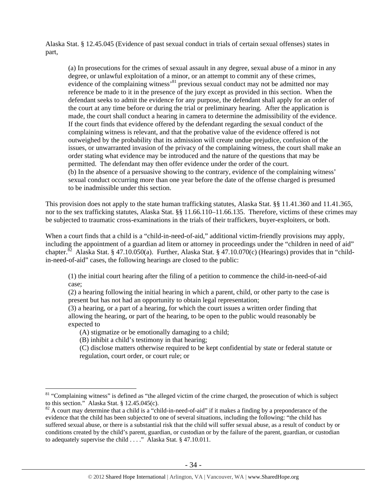Alaska Stat. § 12.45.045 (Evidence of past sexual conduct in trials of certain sexual offenses) states in part,

(a) In prosecutions for the crimes of sexual assault in any degree, sexual abuse of a minor in any degree, or unlawful exploitation of a minor, or an attempt to commit any of these crimes, evidence of the complaining witness'<sup>81</sup> previous sexual conduct may not be admitted nor may reference be made to it in the presence of the jury except as provided in this section. When the defendant seeks to admit the evidence for any purpose, the defendant shall apply for an order of the court at any time before or during the trial or preliminary hearing. After the application is made, the court shall conduct a hearing in camera to determine the admissibility of the evidence. If the court finds that evidence offered by the defendant regarding the sexual conduct of the complaining witness is relevant, and that the probative value of the evidence offered is not outweighed by the probability that its admission will create undue prejudice, confusion of the issues, or unwarranted invasion of the privacy of the complaining witness, the court shall make an order stating what evidence may be introduced and the nature of the questions that may be permitted. The defendant may then offer evidence under the order of the court. (b) In the absence of a persuasive showing to the contrary, evidence of the complaining witness' sexual conduct occurring more than one year before the date of the offense charged is presumed to be inadmissible under this section.

This provision does not apply to the state human trafficking statutes, Alaska Stat. §§ 11.41.360 and 11.41.365, nor to the sex trafficking statutes, Alaska Stat. §§ 11.66.110–11.66.135. Therefore, victims of these crimes may be subjected to traumatic cross-examinations in the trials of their traffickers, buyer-exploiters, or both.

When a court finds that a child is a "child-in-need-of-aid," additional victim-friendly provisions may apply, including the appointment of a guardian ad litem or attorney in proceedings under the "children in need of aid" chapter.<sup>82</sup> Alaska Stat. § 47.10.050(a). Further, Alaska Stat. § 47.10.070(c) (Hearings) provides that in "childin-need-of-aid" cases, the following hearings are closed to the public:

(1) the initial court hearing after the filing of a petition to commence the child-in-need-of-aid case;

(2) a hearing following the initial hearing in which a parent, child, or other party to the case is present but has not had an opportunity to obtain legal representation;

(3) a hearing, or a part of a hearing, for which the court issues a written order finding that allowing the hearing, or part of the hearing, to be open to the public would reasonably be expected to

(A) stigmatize or be emotionally damaging to a child;

(B) inhibit a child's testimony in that hearing;

 $\overline{a}$ 

(C) disclose matters otherwise required to be kept confidential by state or federal statute or regulation, court order, or court rule; or

<sup>&</sup>lt;sup>81</sup> "Complaining witness" is defined as "the alleged victim of the crime charged, the prosecution of which is subject to this section." Alaska Stat. § 12.45.045(c).<br><sup>82</sup> A court may determine that a child is a "child-in-need-of-aid" if it makes a finding by a preponderance of the

evidence that the child has been subjected to one of several situations, including the following: "the child has suffered sexual abuse, or there is a substantial risk that the child will suffer sexual abuse, as a result of conduct by or conditions created by the child's parent, guardian, or custodian or by the failure of the parent, guardian, or custodian to adequately supervise the child . . . ." Alaska Stat. § 47.10.011.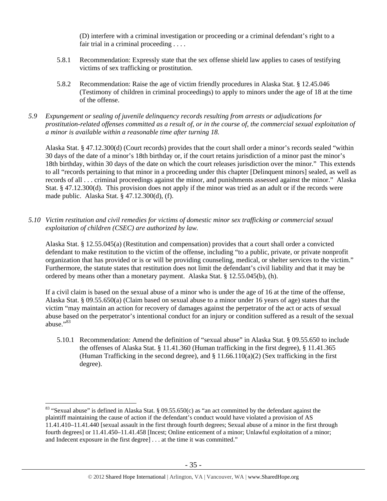(D) interfere with a criminal investigation or proceeding or a criminal defendant's right to a fair trial in a criminal proceeding . . . .

- 5.8.1 Recommendation: Expressly state that the sex offense shield law applies to cases of testifying victims of sex trafficking or prostitution.
- 5.8.2 Recommendation: Raise the age of victim friendly procedures in Alaska Stat. § 12.45.046 (Testimony of children in criminal proceedings) to apply to minors under the age of 18 at the time of the offense.

# *5.9 Expungement or sealing of juvenile delinquency records resulting from arrests or adjudications for prostitution-related offenses committed as a result of, or in the course of, the commercial sexual exploitation of a minor is available within a reasonable time after turning 18.*

Alaska Stat. § 47.12.300(d) (Court records) provides that the court shall order a minor's records sealed "within 30 days of the date of a minor's 18th birthday or, if the court retains jurisdiction of a minor past the minor's 18th birthday, within 30 days of the date on which the court releases jurisdiction over the minor." This extends to all "records pertaining to that minor in a proceeding under this chapter [Delinquent minors] sealed, as well as records of all . . . criminal proceedings against the minor, and punishments assessed against the minor." Alaska Stat. § 47.12.300(d). This provision does not apply if the minor was tried as an adult or if the records were made public. Alaska Stat. § 47.12.300(d), (f).

*5.10 Victim restitution and civil remedies for victims of domestic minor sex trafficking or commercial sexual exploitation of children (CSEC) are authorized by law.* 

Alaska Stat. § 12.55.045(a) (Restitution and compensation) provides that a court shall order a convicted defendant to make restitution to the victim of the offense, including "to a public, private, or private nonprofit organization that has provided or is or will be providing counseling, medical, or shelter services to the victim." Furthermore, the statute states that restitution does not limit the defendant's civil liability and that it may be ordered by means other than a monetary payment. Alaska Stat. § 12.55.045(b), (h).

If a civil claim is based on the sexual abuse of a minor who is under the age of 16 at the time of the offense, Alaska Stat. § 09.55.650(a) (Claim based on sexual abuse to a minor under 16 years of age) states that the victim "may maintain an action for recovery of damages against the perpetrator of the act or acts of sexual abuse based on the perpetrator's intentional conduct for an injury or condition suffered as a result of the sexual abuse."<sup>83</sup>

5.10.1 Recommendation: Amend the definition of "sexual abuse" in Alaska Stat. § 09.55.650 to include the offenses of Alaska Stat. § 11.41.360 (Human trafficking in the first degree), § 11.41.365 (Human Trafficking in the second degree), and  $\S 11.66.110(a)(2)$  (Sex trafficking in the first degree).

 $\overline{a}$ 

<sup>&</sup>lt;sup>83</sup> "Sexual abuse" is defined in Alaska Stat. § 09.55.650(c) as "an act committed by the defendant against the plaintiff maintaining the cause of action if the defendant's conduct would have violated a provision of AS 11.41.410–11.41.440 [sexual assault in the first through fourth degrees; Sexual abuse of a minor in the first through fourth degrees] or 11.41.450–11.41.458 [Incest; Online enticement of a minor; Unlawful exploitation of a minor; and Indecent exposure in the first degree] . . . at the time it was committed."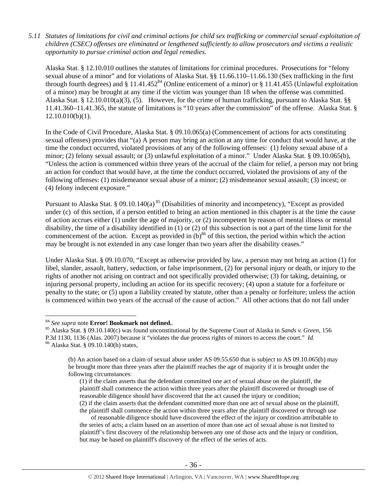*5.11 Statutes of limitations for civil and criminal actions for child sex trafficking or commercial sexual exploitation of children (CSEC) offenses are eliminated or lengthened sufficiently to allow prosecutors and victims a realistic opportunity to pursue criminal action and legal remedies.* 

Alaska Stat. § 12.10.010 outlines the statutes of limitations for criminal procedures. Prosecutions for "felony sexual abuse of a minor" and for violations of Alaska Stat. §§ 11.66.110–11.66.130 (Sex trafficking in the first through fourth degrees) and § 11.41.452<sup>84</sup> (Online enticement of a minor) or § 11.41.455 (Unlawful exploitation of a minor) may be brought at any time if the victim was younger than 18 when the offense was committed. Alaska Stat. § 12.10.010(a)(3), (5). However, for the crime of human trafficking, pursuant to Alaska Stat. §§ 11.41.360–11.41.365, the statute of limitations is "10 years after the commission" of the offense. Alaska Stat. §  $12.10.010(b)(1)$ .

In the Code of Civil Procedure, Alaska Stat. § 09.10.065(a) (Commencement of actions for acts constituting sexual offenses) provides that "(a) A person may bring an action at any time for conduct that would have, at the time the conduct occurred, violated provisions of any of the following offenses: (1) felony sexual abuse of a minor; (2) felony sexual assault; or (3) unlawful exploitation of a minor." Under Alaska Stat. § 09.10.065(b), "Unless the action is commenced within three years of the accrual of the claim for relief, a person may not bring an action for conduct that would have, at the time the conduct occurred, violated the provisions of any of the following offenses: (1) misdemeanor sexual abuse of a minor; (2) misdemeanor sexual assault; (3) incest; or (4) felony indecent exposure."

Pursuant to Alaska Stat. § 09.10.140(a)<sup>85</sup> (Disabilities of minority and incompetency), "Except as provided under (c) of this section, if a person entitled to bring an action mentioned in this chapter is at the time the cause of action accrues either (1) under the age of majority, or (2) incompetent by reason of mental illness or mental disability, the time of a disability identified in (1) or (2) of this subsection is not a part of the time limit for the commencement of the action. Except as provided in  $(b)^{86}$  of this section, the period within which the action may be brought is not extended in any case longer than two years after the disability ceases."

Under Alaska Stat. § 09.10.070, "Except as otherwise provided by law, a person may not bring an action (1) for libel, slander, assault, battery, seduction, or false imprisonment, (2) for personal injury or death, or injury to the rights of another not arising on contract and not specifically provided otherwise; (3) for taking, detaining, or injuring personal property, including an action for its specific recovery; (4) upon a statute for a forfeiture or penalty to the state; or (5) upon a liability created by statute, other than a penalty or forfeiture; unless the action is commenced within two years of the accrual of the cause of action." All other actions that do not fall under

 $\overline{a}$ 

<sup>&</sup>lt;sup>84</sup> See supra note **Error! Bookmark not defined.**.<br><sup>85</sup> Alaska Stat. § 09.10.140(c) was found unconstitutional by the Supreme Court of Alaska in *Sands v. Green*, 156 P.3d 1130, 1136 (Alas. 2007) because it "violates the due process rights of minors to access the court." *Id.* 86 Alaska Stat. § 09.10.140(b) states,

<sup>(</sup>b) An action based on a claim of sexual abuse under AS 09.55.650 that is subject to AS 09.10.065(b) may be brought more than three years after the plaintiff reaches the age of majority if it is brought under the following circumstances:

<sup>(1)</sup> if the claim asserts that the defendant committed one act of sexual abuse on the plaintiff, the plaintiff shall commence the action within three years after the plaintiff discovered or through use of reasonable diligence should have discovered that the act caused the injury or condition; (2) if the claim asserts that the defendant committed more than one act of sexual abuse on the plaintiff,

the plaintiff shall commence the action within three years after the plaintiff discovered or through use

of reasonable diligence should have discovered the effect of the injury or condition attributable to the series of acts; a claim based on an assertion of more than one act of sexual abuse is not limited to plaintiff's first discovery of the relationship between any one of those acts and the injury or condition, but may be based on plaintiff's discovery of the effect of the series of acts.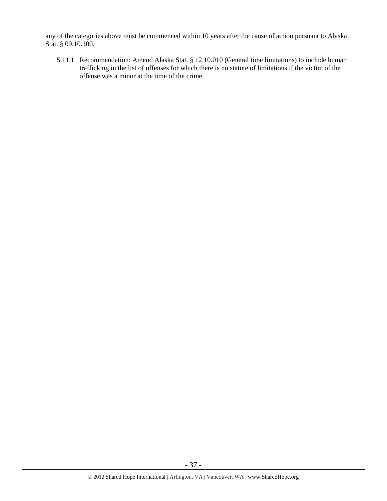any of the categories above must be commenced within 10 years after the cause of action pursuant to Alaska Stat. § 09.10.100.

5.11.1 Recommendation: Amend Alaska Stat. § 12.10.010 (General time limitations) to include human trafficking in the list of offenses for which there is no statute of limitations if the victim of the offense was a minor at the time of the crime.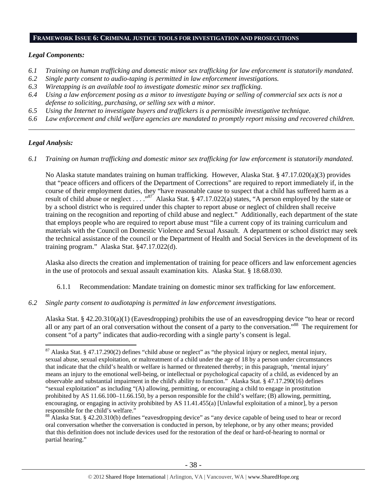#### **FRAMEWORK ISSUE 6: CRIMINAL JUSTICE TOOLS FOR INVESTIGATION AND PROSECUTIONS**

## *Legal Components:*

- *6.1 Training on human trafficking and domestic minor sex trafficking for law enforcement is statutorily mandated.*
- *6.2 Single party consent to audio-taping is permitted in law enforcement investigations.*
- *6.3 Wiretapping is an available tool to investigate domestic minor sex trafficking.*
- *6.4 Using a law enforcement posing as a minor to investigate buying or selling of commercial sex acts is not a defense to soliciting, purchasing, or selling sex with a minor.*
- *6.5 Using the Internet to investigate buyers and traffickers is a permissible investigative technique.*
- *6.6 Law enforcement and child welfare agencies are mandated to promptly report missing and recovered children. \_\_\_\_\_\_\_\_\_\_\_\_\_\_\_\_\_\_\_\_\_\_\_\_\_\_\_\_\_\_\_\_\_\_\_\_\_\_\_\_\_\_\_\_\_\_\_\_\_\_\_\_\_\_\_\_\_\_\_\_\_\_\_\_\_\_\_\_\_\_\_\_\_\_\_\_\_\_\_\_\_\_\_\_\_\_\_\_\_\_\_\_\_\_*

# *Legal Analysis:*

 $\overline{a}$ 

*6.1 Training on human trafficking and domestic minor sex trafficking for law enforcement is statutorily mandated.* 

No Alaska statute mandates training on human trafficking. However, Alaska Stat. § 47.17.020(a)(3) provides that "peace officers and officers of the Department of Corrections" are required to report immediately if, in the course of their employment duties, they "have reasonable cause to suspect that a child has suffered harm as a result of child abuse or neglect . . . .<sup>87</sup> Alaska Stat. § 47.17.022(a) states, "A person employed by the state or by a school district who is required under this chapter to report abuse or neglect of children shall receive training on the recognition and reporting of child abuse and neglect." Additionally, each department of the state that employs people who are required to report abuse must "file a current copy of its training curriculum and materials with the Council on Domestic Violence and Sexual Assault. A department or school district may seek the technical assistance of the council or the Department of Health and Social Services in the development of its training program." Alaska Stat. §47.17.022(d).

Alaska also directs the creation and implementation of training for peace officers and law enforcement agencies in the use of protocols and sexual assault examination kits. Alaska Stat. § 18.68.030.

- 6.1.1 Recommendation: Mandate training on domestic minor sex trafficking for law enforcement.
- *6.2 Single party consent to audiotaping is permitted in law enforcement investigations.*

Alaska Stat. § 42.20.310(a)(1) (Eavesdropping) prohibits the use of an eavesdropping device "to hear or record all or any part of an oral conversation without the consent of a party to the conversation."88 The requirement for consent "of a party" indicates that audio-recording with a single party's consent is legal.

 $87$  Alaska Stat. § 47.17.290(2) defines "child abuse or neglect" as "the physical injury or neglect, mental injury, sexual abuse, sexual exploitation, or maltreatment of a child under the age of 18 by a person under circumstances that indicate that the child's health or welfare is harmed or threatened thereby; in this paragraph, 'mental injury' means an injury to the emotional well-being, or intellectual or psychological capacity of a child, as evidenced by an observable and substantial impairment in the child's ability to function." Alaska Stat. § 47.17.290(16) defines "sexual exploitation" as including "(A) allowing, permitting, or encouraging a child to engage in prostitution prohibited by AS 11.66.100–11.66.150, by a person responsible for the child's welfare; (B) allowing, permitting, encouraging, or engaging in activity prohibited by AS 11.41.455(a) [Unlawful exploitation of a minor], by a person responsible for the child's welfare."

<sup>&</sup>lt;sup>88</sup> Alaska Stat. § 42.20.310(b) defines "eavesdropping device" as "any device capable of being used to hear or record oral conversation whether the conversation is conducted in person, by telephone, or by any other means; provided that this definition does not include devices used for the restoration of the deaf or hard-of-hearing to normal or partial hearing."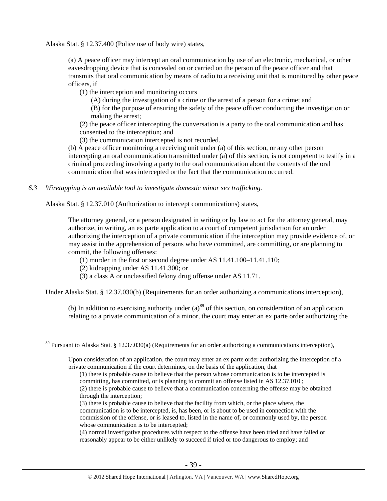Alaska Stat. § 12.37.400 (Police use of body wire) states,

(a) A peace officer may intercept an oral communication by use of an electronic, mechanical, or other eavesdropping device that is concealed on or carried on the person of the peace officer and that transmits that oral communication by means of radio to a receiving unit that is monitored by other peace officers, if

(1) the interception and monitoring occurs

(A) during the investigation of a crime or the arrest of a person for a crime; and

(B) for the purpose of ensuring the safety of the peace officer conducting the investigation or making the arrest;

(2) the peace officer intercepting the conversation is a party to the oral communication and has consented to the interception; and

(3) the communication intercepted is not recorded.

(b) A peace officer monitoring a receiving unit under (a) of this section, or any other person intercepting an oral communication transmitted under (a) of this section, is not competent to testify in a criminal proceeding involving a party to the oral communication about the contents of the oral communication that was intercepted or the fact that the communication occurred.

*6.3 Wiretapping is an available tool to investigate domestic minor sex trafficking.* 

Alaska Stat. § 12.37.010 (Authorization to intercept communications) states,

The attorney general, or a person designated in writing or by law to act for the attorney general, may authorize, in writing, an ex parte application to a court of competent jurisdiction for an order authorizing the interception of a private communication if the interception may provide evidence of, or may assist in the apprehension of persons who have committed, are committing, or are planning to commit, the following offenses:

(1) murder in the first or second degree under AS 11.41.100–11.41.110;

(2) kidnapping under AS 11.41.300; or

 $\overline{a}$ 

(3) a class A or unclassified felony drug offense under AS 11.71.

Under Alaska Stat. § 12.37.030(b) (Requirements for an order authorizing a communications interception),

(b) In addition to exercising authority under  $(a)$ <sup>89</sup> of this section, on consideration of an application relating to a private communication of a minor, the court may enter an ex parte order authorizing the

(1) there is probable cause to believe that the person whose communication is to be intercepted is committing, has committed, or is planning to commit an offense listed in AS 12.37.010 ;

 $89$  Pursuant to Alaska Stat. § 12.37.030(a) (Requirements for an order authorizing a communications interception),

Upon consideration of an application, the court may enter an ex parte order authorizing the interception of a private communication if the court determines, on the basis of the application, that

<sup>(2)</sup> there is probable cause to believe that a communication concerning the offense may be obtained through the interception;

<sup>(3)</sup> there is probable cause to believe that the facility from which, or the place where, the communication is to be intercepted, is, has been, or is about to be used in connection with the commission of the offense, or is leased to, listed in the name of, or commonly used by, the person whose communication is to be intercepted;

<sup>(4)</sup> normal investigative procedures with respect to the offense have been tried and have failed or reasonably appear to be either unlikely to succeed if tried or too dangerous to employ; and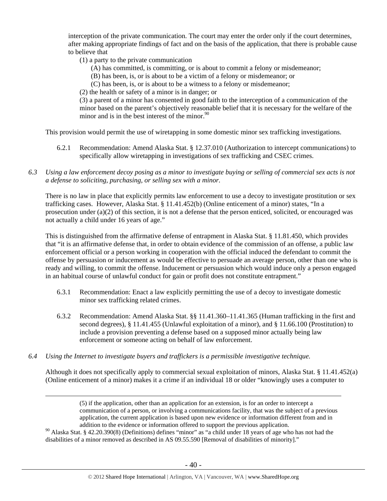interception of the private communication. The court may enter the order only if the court determines, after making appropriate findings of fact and on the basis of the application, that there is probable cause to believe that

- (1) a party to the private communication
	- (A) has committed, is committing, or is about to commit a felony or misdemeanor;
	- (B) has been, is, or is about to be a victim of a felony or misdemeanor; or
	- (C) has been, is, or is about to be a witness to a felony or misdemeanor;
- (2) the health or safety of a minor is in danger; or

(3) a parent of a minor has consented in good faith to the interception of a communication of the minor based on the parent's objectively reasonable belief that it is necessary for the welfare of the minor and is in the best interest of the minor.  $90^\circ$ 

This provision would permit the use of wiretapping in some domestic minor sex trafficking investigations.

- 6.2.1 Recommendation: Amend Alaska Stat. § 12.37.010 (Authorization to intercept communications) to specifically allow wiretapping in investigations of sex trafficking and CSEC crimes.
- *6.3 Using a law enforcement decoy posing as a minor to investigate buying or selling of commercial sex acts is not a defense to soliciting, purchasing, or selling sex with a minor.*

There is no law in place that explicitly permits law enforcement to use a decoy to investigate prostitution or sex trafficking cases. However, Alaska Stat. § 11.41.452(b) (Online enticement of a minor) states, "In a prosecution under (a)(2) of this section, it is not a defense that the person enticed, solicited, or encouraged was not actually a child under 16 years of age."

This is distinguished from the affirmative defense of entrapment in Alaska Stat. § 11.81.450, which provides that "it is an affirmative defense that, in order to obtain evidence of the commission of an offense, a public law enforcement official or a person working in cooperation with the official induced the defendant to commit the offense by persuasion or inducement as would be effective to persuade an average person, other than one who is ready and willing, to commit the offense. Inducement or persuasion which would induce only a person engaged in an habitual course of unlawful conduct for gain or profit does not constitute entrapment."

- 6.3.1 Recommendation: Enact a law explicitly permitting the use of a decoy to investigate domestic minor sex trafficking related crimes.
- 6.3.2 Recommendation: Amend Alaska Stat. §§ 11.41.360–11.41.365 (Human trafficking in the first and second degrees), § 11.41.455 (Unlawful exploitation of a minor), and § 11.66.100 (Prostitution) to include a provision preventing a defense based on a supposed minor actually being law enforcement or someone acting on behalf of law enforcement.
- *6.4 Using the Internet to investigate buyers and traffickers is a permissible investigative technique.*

Although it does not specifically apply to commercial sexual exploitation of minors, Alaska Stat. § 11.41.452(a) (Online enticement of a minor) makes it a crime if an individual 18 or older "knowingly uses a computer to

> (5) if the application, other than an application for an extension, is for an order to intercept a communication of a person, or involving a communications facility, that was the subject of a previous application, the current application is based upon new evidence or information different from and in addition to the evidence or information offered to support the previous application.

<sup>90</sup> Alaska Stat. § 42.20.390(8) (Definitions) defines "minor" as "a child under 18 years of age who has not had the disabilities of a minor removed as described in AS 09.55.590 [Removal of disabilities of minority]."